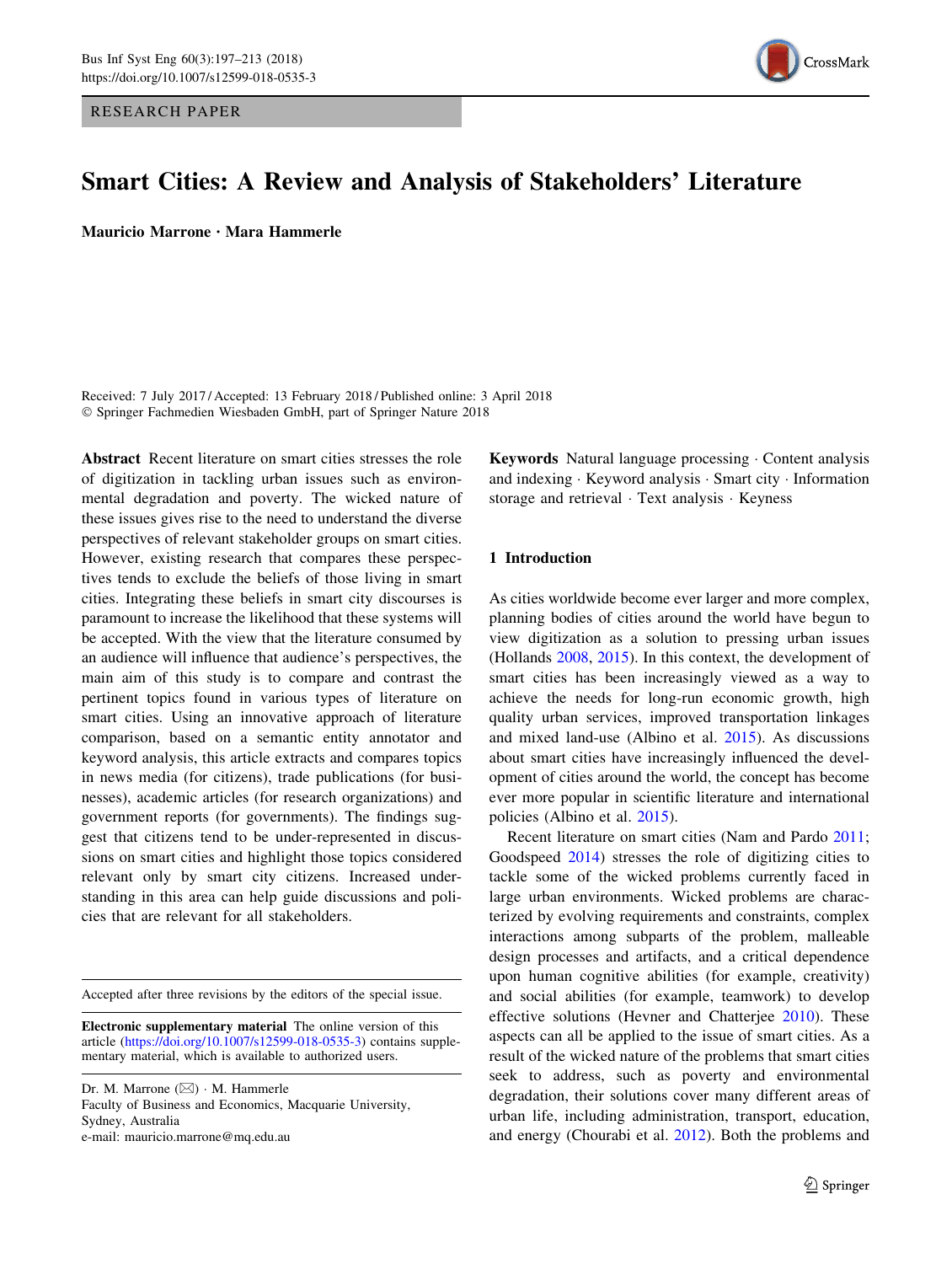RESEARCH PAPER



# Smart Cities: A Review and Analysis of Stakeholders' Literature

Mauricio Marrone • Mara Hammerle

Received: 7 July 2017 / Accepted: 13 February 2018 / Published online: 3 April 2018 - Springer Fachmedien Wiesbaden GmbH, part of Springer Nature 2018

Abstract Recent literature on smart cities stresses the role of digitization in tackling urban issues such as environmental degradation and poverty. The wicked nature of these issues gives rise to the need to understand the diverse perspectives of relevant stakeholder groups on smart cities. However, existing research that compares these perspectives tends to exclude the beliefs of those living in smart cities. Integrating these beliefs in smart city discourses is paramount to increase the likelihood that these systems will be accepted. With the view that the literature consumed by an audience will influence that audience's perspectives, the main aim of this study is to compare and contrast the pertinent topics found in various types of literature on smart cities. Using an innovative approach of literature comparison, based on a semantic entity annotator and keyword analysis, this article extracts and compares topics in news media (for citizens), trade publications (for businesses), academic articles (for research organizations) and government reports (for governments). The findings suggest that citizens tend to be under-represented in discussions on smart cities and highlight those topics considered relevant only by smart city citizens. Increased understanding in this area can help guide discussions and policies that are relevant for all stakeholders.

Accepted after three revisions by the editors of the special issue.

Dr. M. Marrone  $(\boxtimes) \cdot M$ . Hammerle

Faculty of Business and Economics, Macquarie University, Sydney, Australia e-mail: mauricio.marrone@mq.edu.au

Keywords Natural language processing - Content analysis and indexing - Keyword analysis - Smart city - Information storage and retrieval · Text analysis · Keyness

# 1 Introduction

As cities worldwide become ever larger and more complex, planning bodies of cities around the world have begun to view digitization as a solution to pressing urban issues (Hollands [2008](#page-14-0), [2015\)](#page-14-0). In this context, the development of smart cities has been increasingly viewed as a way to achieve the needs for long-run economic growth, high quality urban services, improved transportation linkages and mixed land-use (Albino et al. [2015](#page-13-0)). As discussions about smart cities have increasingly influenced the development of cities around the world, the concept has become ever more popular in scientific literature and international policies (Albino et al. [2015\)](#page-13-0).

Recent literature on smart cities (Nam and Pardo [2011](#page-15-0); Goodspeed [2014](#page-14-0)) stresses the role of digitizing cities to tackle some of the wicked problems currently faced in large urban environments. Wicked problems are characterized by evolving requirements and constraints, complex interactions among subparts of the problem, malleable design processes and artifacts, and a critical dependence upon human cognitive abilities (for example, creativity) and social abilities (for example, teamwork) to develop effective solutions (Hevner and Chatterjee [2010\)](#page-14-0). These aspects can all be applied to the issue of smart cities. As a result of the wicked nature of the problems that smart cities seek to address, such as poverty and environmental degradation, their solutions cover many different areas of urban life, including administration, transport, education, and energy (Chourabi et al. [2012\)](#page-14-0). Both the problems and

Electronic supplementary material The online version of this article [\(https://doi.org/10.1007/s12599-018-0535-3](https://doi.org/10.1007/s12599-018-0535-3)) contains supplementary material, which is available to authorized users.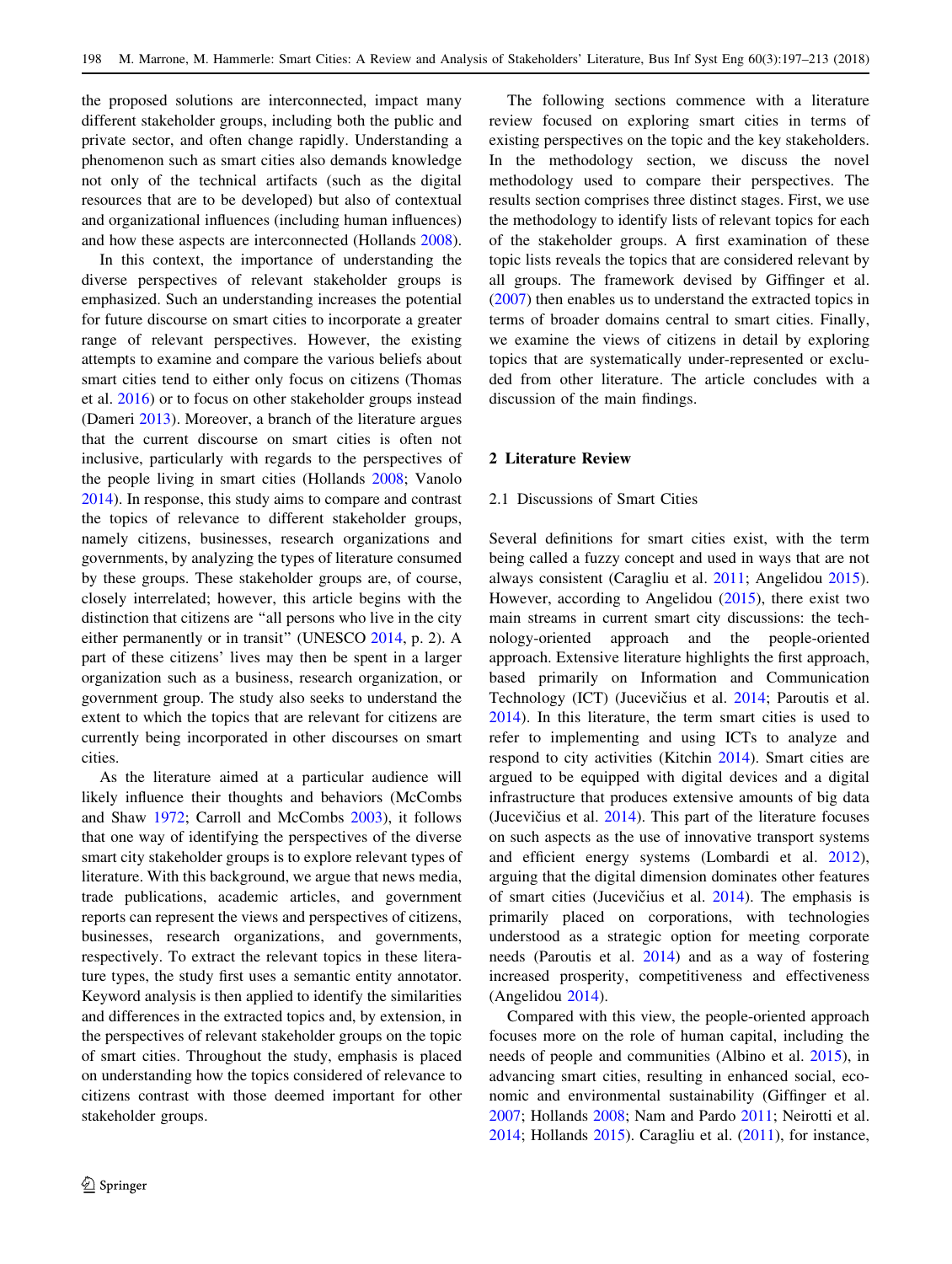the proposed solutions are interconnected, impact many different stakeholder groups, including both the public and private sector, and often change rapidly. Understanding a phenomenon such as smart cities also demands knowledge not only of the technical artifacts (such as the digital resources that are to be developed) but also of contextual and organizational influences (including human influences) and how these aspects are interconnected (Hollands [2008](#page-14-0)).

In this context, the importance of understanding the diverse perspectives of relevant stakeholder groups is emphasized. Such an understanding increases the potential for future discourse on smart cities to incorporate a greater range of relevant perspectives. However, the existing attempts to examine and compare the various beliefs about smart cities tend to either only focus on citizens (Thomas et al. [2016\)](#page-16-0) or to focus on other stakeholder groups instead (Dameri [2013](#page-14-0)). Moreover, a branch of the literature argues that the current discourse on smart cities is often not inclusive, particularly with regards to the perspectives of the people living in smart cities (Hollands [2008;](#page-14-0) Vanolo [2014\)](#page-16-0). In response, this study aims to compare and contrast the topics of relevance to different stakeholder groups, namely citizens, businesses, research organizations and governments, by analyzing the types of literature consumed by these groups. These stakeholder groups are, of course, closely interrelated; however, this article begins with the distinction that citizens are ''all persons who live in the city either permanently or in transit" (UNESCO [2014](#page-16-0), p. 2). A part of these citizens' lives may then be spent in a larger organization such as a business, research organization, or government group. The study also seeks to understand the extent to which the topics that are relevant for citizens are currently being incorporated in other discourses on smart cities.

As the literature aimed at a particular audience will likely influence their thoughts and behaviors (McCombs and Shaw [1972;](#page-15-0) Carroll and McCombs [2003\)](#page-14-0), it follows that one way of identifying the perspectives of the diverse smart city stakeholder groups is to explore relevant types of literature. With this background, we argue that news media, trade publications, academic articles, and government reports can represent the views and perspectives of citizens, businesses, research organizations, and governments, respectively. To extract the relevant topics in these literature types, the study first uses a semantic entity annotator. Keyword analysis is then applied to identify the similarities and differences in the extracted topics and, by extension, in the perspectives of relevant stakeholder groups on the topic of smart cities. Throughout the study, emphasis is placed on understanding how the topics considered of relevance to citizens contrast with those deemed important for other stakeholder groups.

The following sections commence with a literature review focused on exploring smart cities in terms of existing perspectives on the topic and the key stakeholders. In the methodology section, we discuss the novel methodology used to compare their perspectives. The results section comprises three distinct stages. First, we use the methodology to identify lists of relevant topics for each of the stakeholder groups. A first examination of these topic lists reveals the topics that are considered relevant by all groups. The framework devised by Giffinger et al. [\(2007](#page-14-0)) then enables us to understand the extracted topics in terms of broader domains central to smart cities. Finally, we examine the views of citizens in detail by exploring topics that are systematically under-represented or excluded from other literature. The article concludes with a discussion of the main findings.

#### 2 Literature Review

## 2.1 Discussions of Smart Cities

Several definitions for smart cities exist, with the term being called a fuzzy concept and used in ways that are not always consistent (Caragliu et al. [2011](#page-14-0); Angelidou [2015](#page-13-0)). However, according to Angelidou [\(2015](#page-13-0)), there exist two main streams in current smart city discussions: the technology-oriented approach and the people-oriented approach. Extensive literature highlights the first approach, based primarily on Information and Communication Technology (ICT) (Jucevičius et al. [2014](#page-14-0); Paroutis et al. [2014](#page-15-0)). In this literature, the term smart cities is used to refer to implementing and using ICTs to analyze and respond to city activities (Kitchin [2014](#page-14-0)). Smart cities are argued to be equipped with digital devices and a digital infrastructure that produces extensive amounts of big data (Jucevičius et al.  $2014$ ). This part of the literature focuses on such aspects as the use of innovative transport systems and efficient energy systems (Lombardi et al. [2012](#page-15-0)), arguing that the digital dimension dominates other features of smart cities (Jucevičius et al. [2014\)](#page-14-0). The emphasis is primarily placed on corporations, with technologies understood as a strategic option for meeting corporate needs (Paroutis et al. [2014](#page-15-0)) and as a way of fostering increased prosperity, competitiveness and effectiveness (Angelidou [2014\)](#page-13-0).

Compared with this view, the people-oriented approach focuses more on the role of human capital, including the needs of people and communities (Albino et al. [2015](#page-13-0)), in advancing smart cities, resulting in enhanced social, economic and environmental sustainability (Giffinger et al. [2007](#page-14-0); Hollands [2008](#page-14-0); Nam and Pardo [2011;](#page-15-0) Neirotti et al. [2014](#page-15-0); Hollands [2015](#page-14-0)). Caragliu et al. [\(2011](#page-14-0)), for instance,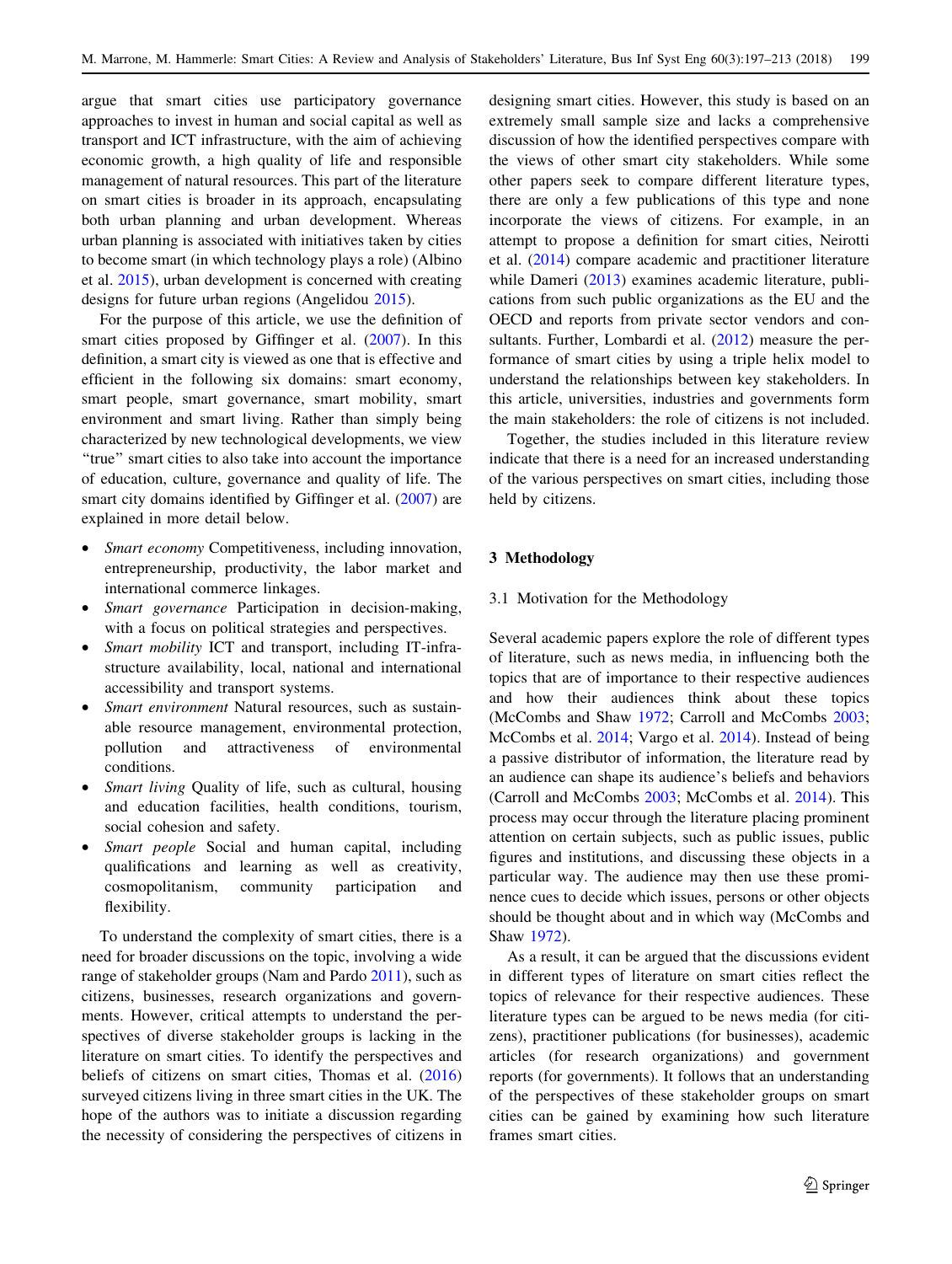argue that smart cities use participatory governance approaches to invest in human and social capital as well as transport and ICT infrastructure, with the aim of achieving economic growth, a high quality of life and responsible management of natural resources. This part of the literature on smart cities is broader in its approach, encapsulating both urban planning and urban development. Whereas urban planning is associated with initiatives taken by cities to become smart (in which technology plays a role) (Albino et al. [2015\)](#page-13-0), urban development is concerned with creating designs for future urban regions (Angelidou [2015](#page-13-0)).

For the purpose of this article, we use the definition of smart cities proposed by Giffinger et al. [\(2007](#page-14-0)). In this definition, a smart city is viewed as one that is effective and efficient in the following six domains: smart economy, smart people, smart governance, smart mobility, smart environment and smart living. Rather than simply being characterized by new technological developments, we view ''true'' smart cities to also take into account the importance of education, culture, governance and quality of life. The smart city domains identified by Giffinger et al. ([2007\)](#page-14-0) are explained in more detail below.

- Smart economy Competitiveness, including innovation, entrepreneurship, productivity, the labor market and international commerce linkages.
- Smart governance Participation in decision-making, with a focus on political strategies and perspectives.
- *Smart mobility* ICT and transport, including IT-infrastructure availability, local, national and international accessibility and transport systems.
- Smart environment Natural resources, such as sustainable resource management, environmental protection, pollution and attractiveness of environmental conditions.
- *Smart living* Quality of life, such as cultural, housing and education facilities, health conditions, tourism, social cohesion and safety.
- Smart people Social and human capital, including qualifications and learning as well as creativity, cosmopolitanism, community participation and flexibility.

To understand the complexity of smart cities, there is a need for broader discussions on the topic, involving a wide range of stakeholder groups (Nam and Pardo [2011\)](#page-15-0), such as citizens, businesses, research organizations and governments. However, critical attempts to understand the perspectives of diverse stakeholder groups is lacking in the literature on smart cities. To identify the perspectives and beliefs of citizens on smart cities, Thomas et al. ([2016\)](#page-16-0) surveyed citizens living in three smart cities in the UK. The hope of the authors was to initiate a discussion regarding the necessity of considering the perspectives of citizens in designing smart cities. However, this study is based on an extremely small sample size and lacks a comprehensive discussion of how the identified perspectives compare with the views of other smart city stakeholders. While some other papers seek to compare different literature types, there are only a few publications of this type and none incorporate the views of citizens. For example, in an attempt to propose a definition for smart cities, Neirotti et al. ([2014\)](#page-15-0) compare academic and practitioner literature while Dameri ([2013\)](#page-14-0) examines academic literature, publications from such public organizations as the EU and the OECD and reports from private sector vendors and con-sultants. Further, Lombardi et al. ([2012\)](#page-15-0) measure the performance of smart cities by using a triple helix model to understand the relationships between key stakeholders. In this article, universities, industries and governments form the main stakeholders: the role of citizens is not included.

Together, the studies included in this literature review indicate that there is a need for an increased understanding of the various perspectives on smart cities, including those held by citizens.

## 3 Methodology

# 3.1 Motivation for the Methodology

Several academic papers explore the role of different types of literature, such as news media, in influencing both the topics that are of importance to their respective audiences and how their audiences think about these topics (McCombs and Shaw [1972](#page-15-0); Carroll and McCombs [2003](#page-14-0); McCombs et al. [2014;](#page-15-0) Vargo et al. [2014](#page-16-0)). Instead of being a passive distributor of information, the literature read by an audience can shape its audience's beliefs and behaviors (Carroll and McCombs [2003](#page-14-0); McCombs et al. [2014](#page-15-0)). This process may occur through the literature placing prominent attention on certain subjects, such as public issues, public figures and institutions, and discussing these objects in a particular way. The audience may then use these prominence cues to decide which issues, persons or other objects should be thought about and in which way (McCombs and Shaw [1972\)](#page-15-0).

As a result, it can be argued that the discussions evident in different types of literature on smart cities reflect the topics of relevance for their respective audiences. These literature types can be argued to be news media (for citizens), practitioner publications (for businesses), academic articles (for research organizations) and government reports (for governments). It follows that an understanding of the perspectives of these stakeholder groups on smart cities can be gained by examining how such literature frames smart cities.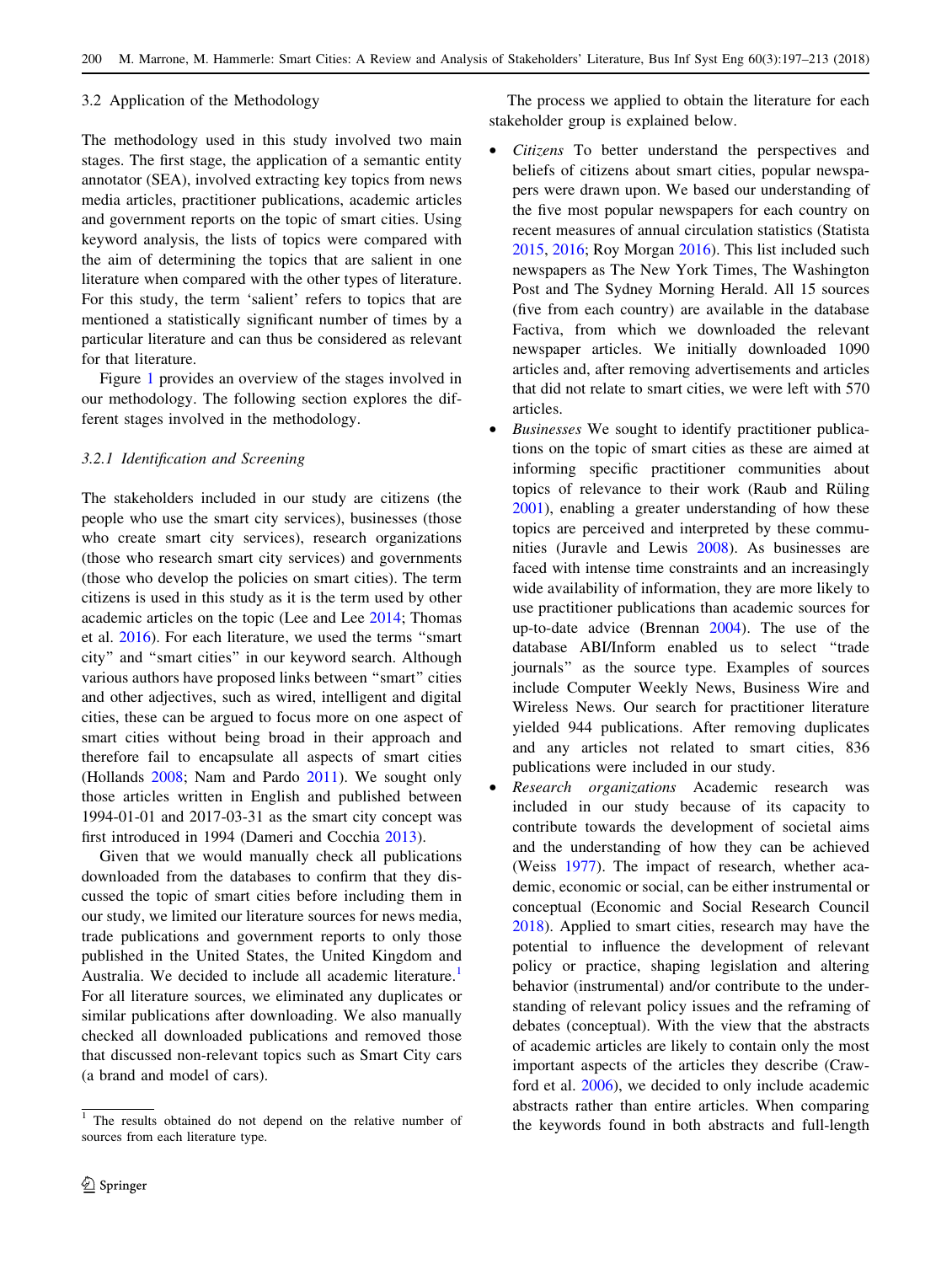#### 3.2 Application of the Methodology

The methodology used in this study involved two main stages. The first stage, the application of a semantic entity annotator (SEA), involved extracting key topics from news media articles, practitioner publications, academic articles and government reports on the topic of smart cities. Using keyword analysis, the lists of topics were compared with the aim of determining the topics that are salient in one literature when compared with the other types of literature. For this study, the term 'salient' refers to topics that are mentioned a statistically significant number of times by a particular literature and can thus be considered as relevant for that literature.

Figure [1](#page-4-0) provides an overview of the stages involved in our methodology. The following section explores the different stages involved in the methodology.

#### 3.2.1 Identification and Screening

The stakeholders included in our study are citizens (the people who use the smart city services), businesses (those who create smart city services), research organizations (those who research smart city services) and governments (those who develop the policies on smart cities). The term citizens is used in this study as it is the term used by other academic articles on the topic (Lee and Lee [2014](#page-15-0); Thomas et al. [2016](#page-16-0)). For each literature, we used the terms ''smart city'' and ''smart cities'' in our keyword search. Although various authors have proposed links between ''smart'' cities and other adjectives, such as wired, intelligent and digital cities, these can be argued to focus more on one aspect of smart cities without being broad in their approach and therefore fail to encapsulate all aspects of smart cities (Hollands [2008;](#page-14-0) Nam and Pardo [2011\)](#page-15-0). We sought only those articles written in English and published between 1994-01-01 and 2017-03-31 as the smart city concept was first introduced in 1994 (Dameri and Cocchia [2013](#page-14-0)).

Given that we would manually check all publications downloaded from the databases to confirm that they discussed the topic of smart cities before including them in our study, we limited our literature sources for news media, trade publications and government reports to only those published in the United States, the United Kingdom and Australia. We decided to include all academic literature.<sup>1</sup> For all literature sources, we eliminated any duplicates or similar publications after downloading. We also manually checked all downloaded publications and removed those that discussed non-relevant topics such as Smart City cars (a brand and model of cars).

The process we applied to obtain the literature for each stakeholder group is explained below.

- Citizens To better understand the perspectives and beliefs of citizens about smart cities, popular newspapers were drawn upon. We based our understanding of the five most popular newspapers for each country on recent measures of annual circulation statistics (Statista [2015,](#page-15-0) [2016;](#page-15-0) Roy Morgan [2016\)](#page-15-0). This list included such newspapers as The New York Times, The Washington Post and The Sydney Morning Herald. All 15 sources (five from each country) are available in the database Factiva, from which we downloaded the relevant newspaper articles. We initially downloaded 1090 articles and, after removing advertisements and articles that did not relate to smart cities, we were left with 570 articles.
- Businesses We sought to identify practitioner publications on the topic of smart cities as these are aimed at informing specific practitioner communities about topics of relevance to their work (Raub and Rüling [2001\)](#page-15-0), enabling a greater understanding of how these topics are perceived and interpreted by these communities (Juravle and Lewis [2008](#page-14-0)). As businesses are faced with intense time constraints and an increasingly wide availability of information, they are more likely to use practitioner publications than academic sources for up-to-date advice (Brennan [2004\)](#page-14-0). The use of the database ABI/Inform enabled us to select ''trade journals'' as the source type. Examples of sources include Computer Weekly News, Business Wire and Wireless News. Our search for practitioner literature yielded 944 publications. After removing duplicates and any articles not related to smart cities, 836 publications were included in our study.
- Research organizations Academic research was included in our study because of its capacity to contribute towards the development of societal aims and the understanding of how they can be achieved (Weiss [1977](#page-16-0)). The impact of research, whether academic, economic or social, can be either instrumental or conceptual (Economic and Social Research Council [2018\)](#page-14-0). Applied to smart cities, research may have the potential to influence the development of relevant policy or practice, shaping legislation and altering behavior (instrumental) and/or contribute to the understanding of relevant policy issues and the reframing of debates (conceptual). With the view that the abstracts of academic articles are likely to contain only the most important aspects of the articles they describe (Crawford et al. [2006\)](#page-14-0), we decided to only include academic abstracts rather than entire articles. When comparing <sup>1</sup> The results obtained do not depend on the relative number of the keywords found in both abstracts and full-length

sources from each literature type.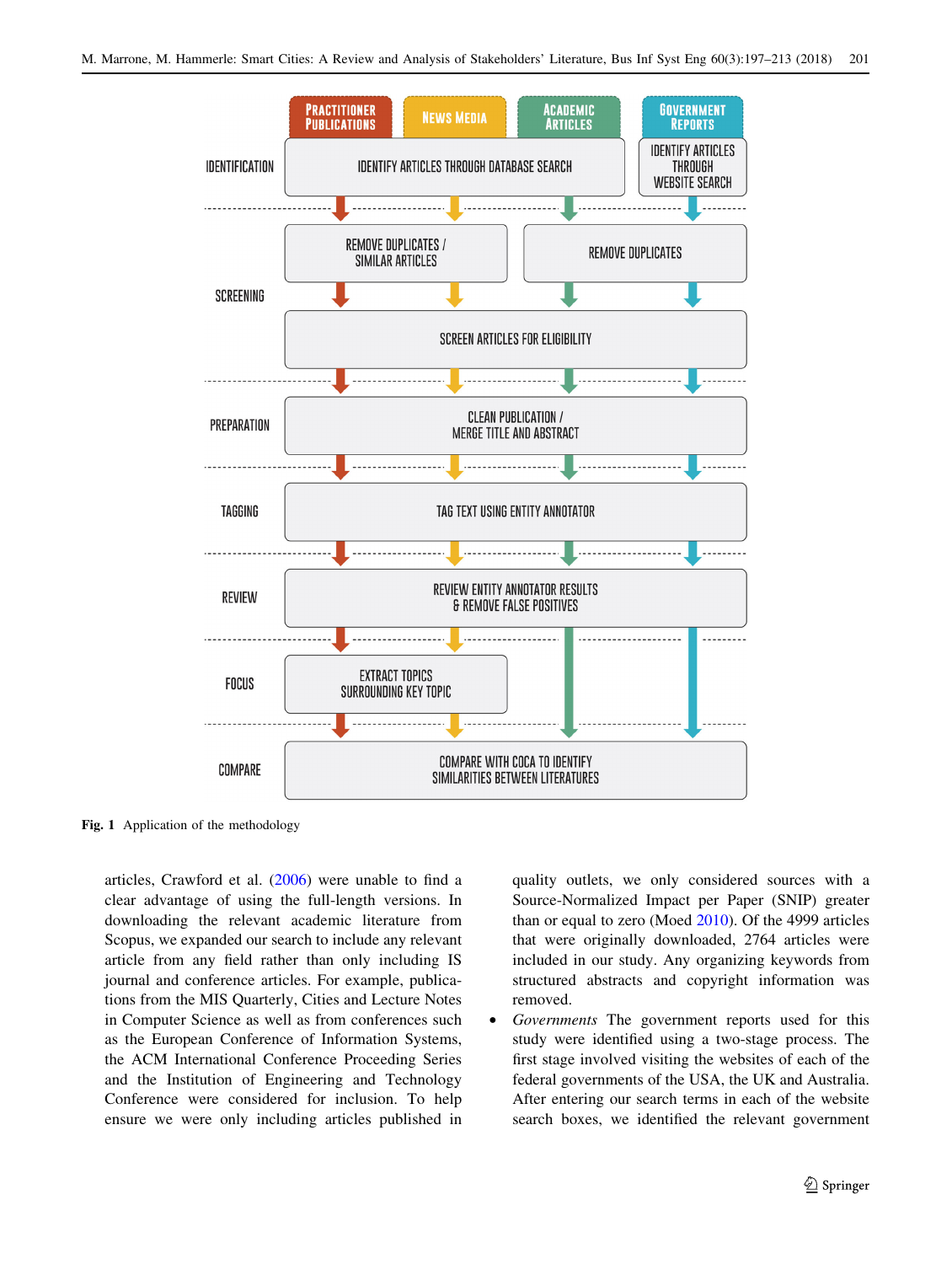<span id="page-4-0"></span>

Fig. 1 Application of the methodology

articles, Crawford et al. ([2006\)](#page-14-0) were unable to find a clear advantage of using the full-length versions. In downloading the relevant academic literature from Scopus, we expanded our search to include any relevant article from any field rather than only including IS journal and conference articles. For example, publications from the MIS Quarterly, Cities and Lecture Notes in Computer Science as well as from conferences such as the European Conference of Information Systems, the ACM International Conference Proceeding Series and the Institution of Engineering and Technology Conference were considered for inclusion. To help ensure we were only including articles published in quality outlets, we only considered sources with a Source-Normalized Impact per Paper (SNIP) greater than or equal to zero (Moed  $2010$ ). Of the 4999 articles that were originally downloaded, 2764 articles were included in our study. Any organizing keywords from structured abstracts and copyright information was removed.

Governments The government reports used for this study were identified using a two-stage process. The first stage involved visiting the websites of each of the federal governments of the USA, the UK and Australia. After entering our search terms in each of the website search boxes, we identified the relevant government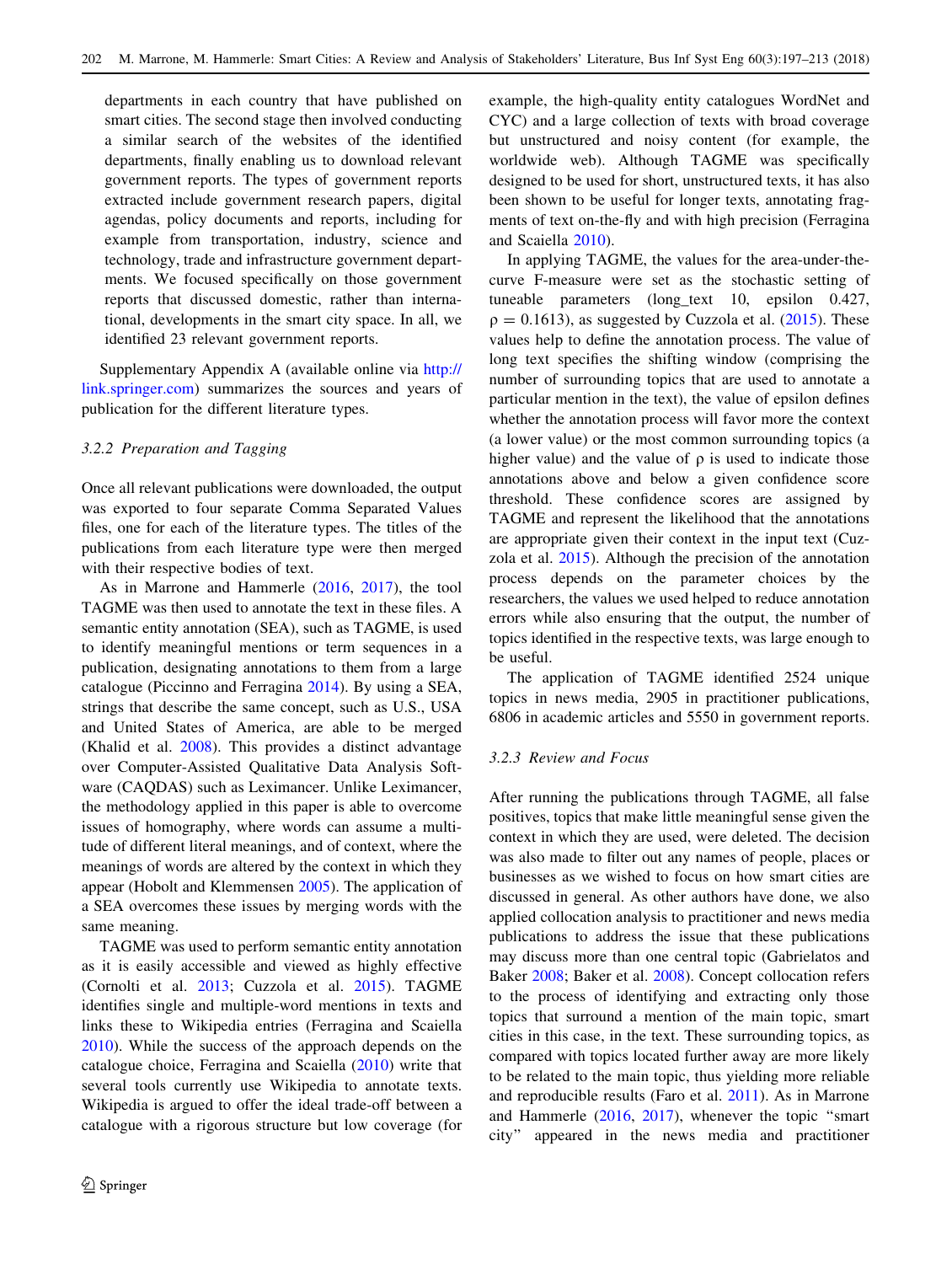departments in each country that have published on smart cities. The second stage then involved conducting a similar search of the websites of the identified departments, finally enabling us to download relevant government reports. The types of government reports extracted include government research papers, digital agendas, policy documents and reports, including for example from transportation, industry, science and technology, trade and infrastructure government departments. We focused specifically on those government reports that discussed domestic, rather than international, developments in the smart city space. In all, we identified 23 relevant government reports.

Supplementary Appendix A (available online via [http://](http://link.springer.com) [link.springer.com\)](http://link.springer.com) summarizes the sources and years of publication for the different literature types.

#### 3.2.2 Preparation and Tagging

Once all relevant publications were downloaded, the output was exported to four separate Comma Separated Values files, one for each of the literature types. The titles of the publications from each literature type were then merged with their respective bodies of text.

As in Marrone and Hammerle [\(2016](#page-15-0), [2017](#page-15-0)), the tool TAGME was then used to annotate the text in these files. A semantic entity annotation (SEA), such as TAGME, is used to identify meaningful mentions or term sequences in a publication, designating annotations to them from a large catalogue (Piccinno and Ferragina [2014](#page-15-0)). By using a SEA, strings that describe the same concept, such as U.S., USA and United States of America, are able to be merged (Khalid et al. [2008\)](#page-14-0). This provides a distinct advantage over Computer-Assisted Qualitative Data Analysis Software (CAQDAS) such as Leximancer. Unlike Leximancer, the methodology applied in this paper is able to overcome issues of homography, where words can assume a multitude of different literal meanings, and of context, where the meanings of words are altered by the context in which they appear (Hobolt and Klemmensen [2005\)](#page-14-0). The application of a SEA overcomes these issues by merging words with the same meaning.

TAGME was used to perform semantic entity annotation as it is easily accessible and viewed as highly effective (Cornolti et al. [2013;](#page-14-0) Cuzzola et al. [2015\)](#page-14-0). TAGME identifies single and multiple-word mentions in texts and links these to Wikipedia entries (Ferragina and Scaiella [2010\)](#page-14-0). While the success of the approach depends on the catalogue choice, Ferragina and Scaiella [\(2010](#page-14-0)) write that several tools currently use Wikipedia to annotate texts. Wikipedia is argued to offer the ideal trade-off between a catalogue with a rigorous structure but low coverage (for example, the high-quality entity catalogues WordNet and CYC) and a large collection of texts with broad coverage but unstructured and noisy content (for example, the worldwide web). Although TAGME was specifically designed to be used for short, unstructured texts, it has also been shown to be useful for longer texts, annotating fragments of text on-the-fly and with high precision (Ferragina and Scaiella [2010\)](#page-14-0).

In applying TAGME, the values for the area-under-thecurve F-measure were set as the stochastic setting of tuneable parameters (long\_text 10, epsilon 0.427,  $p = 0.1613$ , as suggested by Cuzzola et al. ([2015](#page-14-0)). These values help to define the annotation process. The value of long text specifies the shifting window (comprising the number of surrounding topics that are used to annotate a particular mention in the text), the value of epsilon defines whether the annotation process will favor more the context (a lower value) or the most common surrounding topics (a higher value) and the value of  $\rho$  is used to indicate those annotations above and below a given confidence score threshold. These confidence scores are assigned by TAGME and represent the likelihood that the annotations are appropriate given their context in the input text (Cuzzola et al. [2015\)](#page-14-0). Although the precision of the annotation process depends on the parameter choices by the researchers, the values we used helped to reduce annotation errors while also ensuring that the output, the number of topics identified in the respective texts, was large enough to be useful.

The application of TAGME identified 2524 unique topics in news media, 2905 in practitioner publications, 6806 in academic articles and 5550 in government reports.

#### 3.2.3 Review and Focus

After running the publications through TAGME, all false positives, topics that make little meaningful sense given the context in which they are used, were deleted. The decision was also made to filter out any names of people, places or businesses as we wished to focus on how smart cities are discussed in general. As other authors have done, we also applied collocation analysis to practitioner and news media publications to address the issue that these publications may discuss more than one central topic (Gabrielatos and Baker [2008](#page-14-0); Baker et al. [2008\)](#page-14-0). Concept collocation refers to the process of identifying and extracting only those topics that surround a mention of the main topic, smart cities in this case, in the text. These surrounding topics, as compared with topics located further away are more likely to be related to the main topic, thus yielding more reliable and reproducible results (Faro et al. [2011](#page-14-0)). As in Marrone and Hammerle [\(2016,](#page-15-0) [2017\)](#page-15-0), whenever the topic ''smart city'' appeared in the news media and practitioner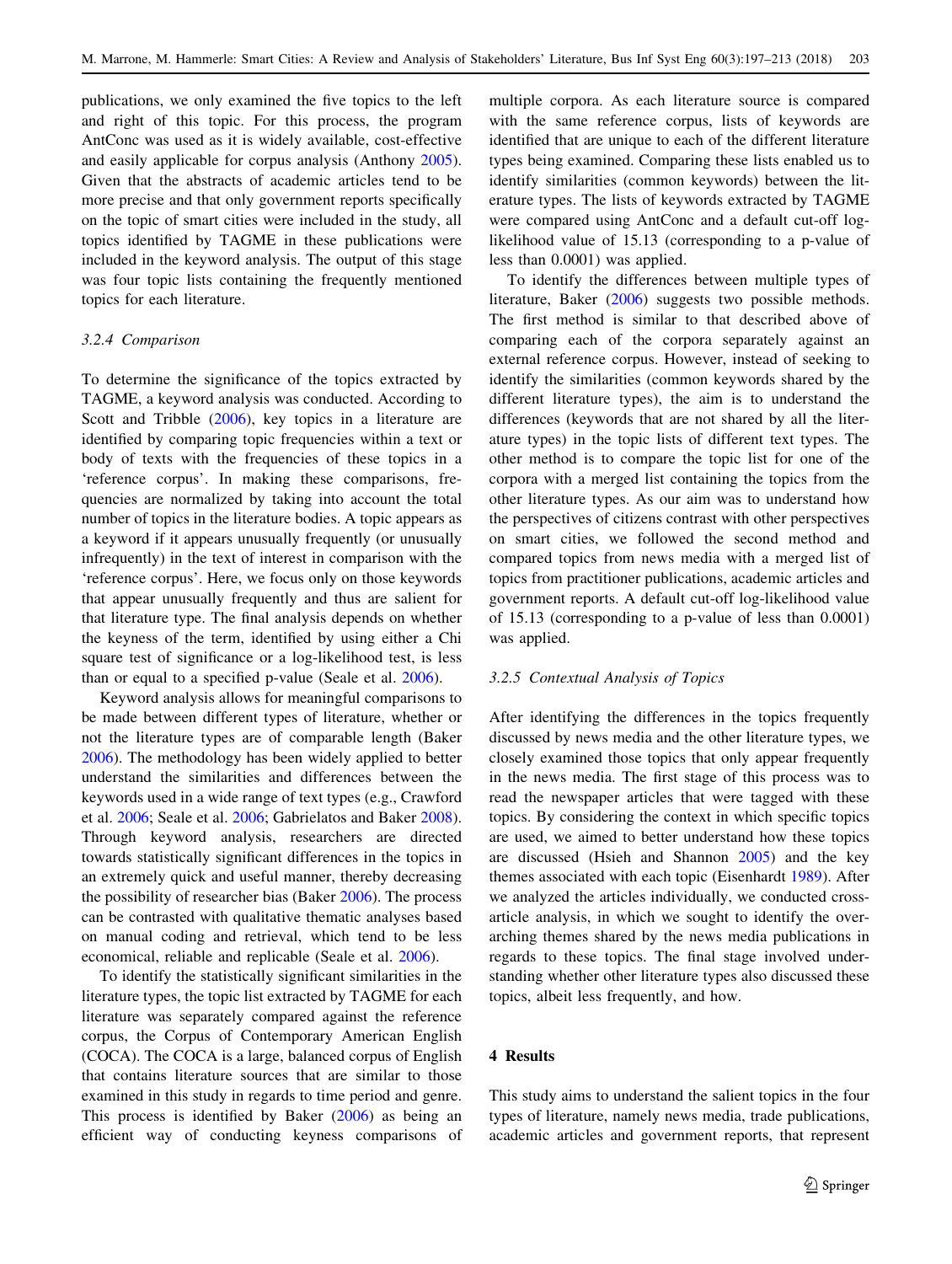publications, we only examined the five topics to the left and right of this topic. For this process, the program AntConc was used as it is widely available, cost-effective and easily applicable for corpus analysis (Anthony [2005](#page-13-0)). Given that the abstracts of academic articles tend to be more precise and that only government reports specifically on the topic of smart cities were included in the study, all topics identified by TAGME in these publications were included in the keyword analysis. The output of this stage was four topic lists containing the frequently mentioned topics for each literature.

#### 3.2.4 Comparison

To determine the significance of the topics extracted by TAGME, a keyword analysis was conducted. According to Scott and Tribble ([2006\)](#page-15-0), key topics in a literature are identified by comparing topic frequencies within a text or body of texts with the frequencies of these topics in a 'reference corpus'. In making these comparisons, frequencies are normalized by taking into account the total number of topics in the literature bodies. A topic appears as a keyword if it appears unusually frequently (or unusually infrequently) in the text of interest in comparison with the 'reference corpus'. Here, we focus only on those keywords that appear unusually frequently and thus are salient for that literature type. The final analysis depends on whether the keyness of the term, identified by using either a Chi square test of significance or a log-likelihood test, is less than or equal to a specified p-value (Seale et al. [2006\)](#page-15-0).

Keyword analysis allows for meaningful comparisons to be made between different types of literature, whether or not the literature types are of comparable length (Baker [2006\)](#page-14-0). The methodology has been widely applied to better understand the similarities and differences between the keywords used in a wide range of text types (e.g., Crawford et al. [2006](#page-14-0); Seale et al. [2006](#page-15-0); Gabrielatos and Baker [2008](#page-14-0)). Through keyword analysis, researchers are directed towards statistically significant differences in the topics in an extremely quick and useful manner, thereby decreasing the possibility of researcher bias (Baker [2006\)](#page-14-0). The process can be contrasted with qualitative thematic analyses based on manual coding and retrieval, which tend to be less economical, reliable and replicable (Seale et al. [2006](#page-15-0)).

To identify the statistically significant similarities in the literature types, the topic list extracted by TAGME for each literature was separately compared against the reference corpus, the Corpus of Contemporary American English (COCA). The COCA is a large, balanced corpus of English that contains literature sources that are similar to those examined in this study in regards to time period and genre. This process is identified by Baker ([2006\)](#page-14-0) as being an efficient way of conducting keyness comparisons of multiple corpora. As each literature source is compared with the same reference corpus, lists of keywords are identified that are unique to each of the different literature types being examined. Comparing these lists enabled us to identify similarities (common keywords) between the literature types. The lists of keywords extracted by TAGME were compared using AntConc and a default cut-off loglikelihood value of 15.13 (corresponding to a p-value of less than 0.0001) was applied.

To identify the differences between multiple types of literature, Baker [\(2006](#page-14-0)) suggests two possible methods. The first method is similar to that described above of comparing each of the corpora separately against an external reference corpus. However, instead of seeking to identify the similarities (common keywords shared by the different literature types), the aim is to understand the differences (keywords that are not shared by all the literature types) in the topic lists of different text types. The other method is to compare the topic list for one of the corpora with a merged list containing the topics from the other literature types. As our aim was to understand how the perspectives of citizens contrast with other perspectives on smart cities, we followed the second method and compared topics from news media with a merged list of topics from practitioner publications, academic articles and government reports. A default cut-off log-likelihood value of 15.13 (corresponding to a p-value of less than 0.0001) was applied.

#### 3.2.5 Contextual Analysis of Topics

After identifying the differences in the topics frequently discussed by news media and the other literature types, we closely examined those topics that only appear frequently in the news media. The first stage of this process was to read the newspaper articles that were tagged with these topics. By considering the context in which specific topics are used, we aimed to better understand how these topics are discussed (Hsieh and Shannon [2005](#page-14-0)) and the key themes associated with each topic (Eisenhardt [1989\)](#page-14-0). After we analyzed the articles individually, we conducted crossarticle analysis, in which we sought to identify the overarching themes shared by the news media publications in regards to these topics. The final stage involved understanding whether other literature types also discussed these topics, albeit less frequently, and how.

# 4 Results

This study aims to understand the salient topics in the four types of literature, namely news media, trade publications, academic articles and government reports, that represent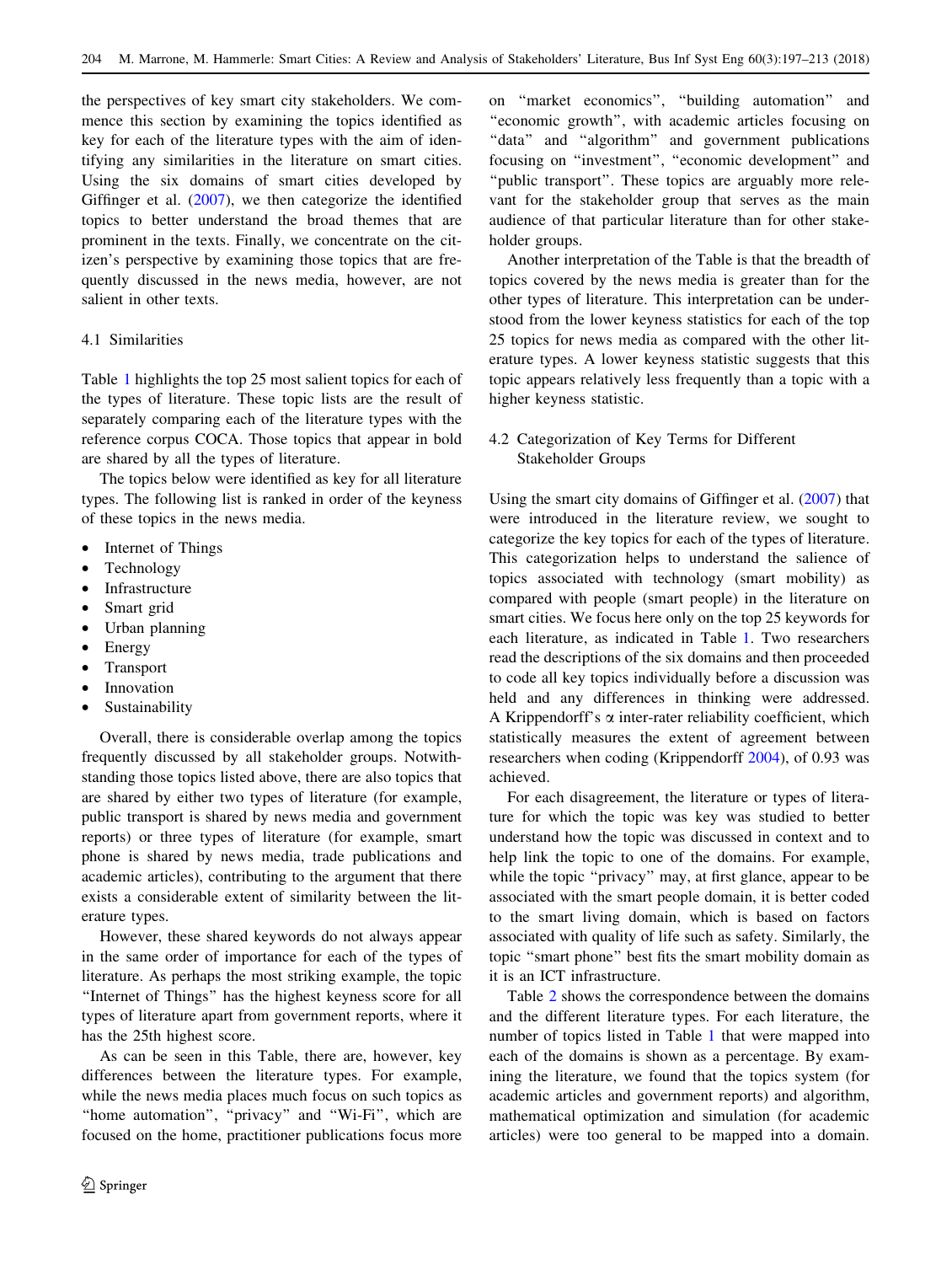the perspectives of key smart city stakeholders. We commence this section by examining the topics identified as key for each of the literature types with the aim of identifying any similarities in the literature on smart cities. Using the six domains of smart cities developed by Giffinger et al. [\(2007](#page-14-0)), we then categorize the identified topics to better understand the broad themes that are prominent in the texts. Finally, we concentrate on the citizen's perspective by examining those topics that are frequently discussed in the news media, however, are not salient in other texts.

# 4.1 Similarities

Table [1](#page-8-0) highlights the top 25 most salient topics for each of the types of literature. These topic lists are the result of separately comparing each of the literature types with the reference corpus COCA. Those topics that appear in bold are shared by all the types of literature.

The topics below were identified as key for all literature types. The following list is ranked in order of the keyness of these topics in the news media.

- Internet of Things
- **Technology**
- **Infrastructure**
- Smart grid
- Urban planning
- **Energy**
- **Transport**
- **Innovation**
- **Sustainability**

Overall, there is considerable overlap among the topics frequently discussed by all stakeholder groups. Notwithstanding those topics listed above, there are also topics that are shared by either two types of literature (for example, public transport is shared by news media and government reports) or three types of literature (for example, smart phone is shared by news media, trade publications and academic articles), contributing to the argument that there exists a considerable extent of similarity between the literature types.

However, these shared keywords do not always appear in the same order of importance for each of the types of literature. As perhaps the most striking example, the topic ''Internet of Things'' has the highest keyness score for all types of literature apart from government reports, where it has the 25th highest score.

As can be seen in this Table, there are, however, key differences between the literature types. For example, while the news media places much focus on such topics as "home automation", "privacy" and "Wi-Fi", which are focused on the home, practitioner publications focus more on ''market economics'', ''building automation'' and ''economic growth'', with academic articles focusing on "data" and "algorithm" and government publications focusing on ''investment'', ''economic development'' and "public transport". These topics are arguably more relevant for the stakeholder group that serves as the main audience of that particular literature than for other stakeholder groups.

Another interpretation of the Table is that the breadth of topics covered by the news media is greater than for the other types of literature. This interpretation can be understood from the lower keyness statistics for each of the top 25 topics for news media as compared with the other literature types. A lower keyness statistic suggests that this topic appears relatively less frequently than a topic with a higher keyness statistic.

# 4.2 Categorization of Key Terms for Different Stakeholder Groups

Using the smart city domains of Giffinger et al. [\(2007](#page-14-0)) that were introduced in the literature review, we sought to categorize the key topics for each of the types of literature. This categorization helps to understand the salience of topics associated with technology (smart mobility) as compared with people (smart people) in the literature on smart cities. We focus here only on the top 25 keywords for each literature, as indicated in Table [1.](#page-8-0) Two researchers read the descriptions of the six domains and then proceeded to code all key topics individually before a discussion was held and any differences in thinking were addressed. A Krippendorff's  $\alpha$  inter-rater reliability coefficient, which statistically measures the extent of agreement between researchers when coding (Krippendorff [2004](#page-15-0)), of 0.93 was achieved.

For each disagreement, the literature or types of literature for which the topic was key was studied to better understand how the topic was discussed in context and to help link the topic to one of the domains. For example, while the topic "privacy" may, at first glance, appear to be associated with the smart people domain, it is better coded to the smart living domain, which is based on factors associated with quality of life such as safety. Similarly, the topic ''smart phone'' best fits the smart mobility domain as it is an ICT infrastructure.

Table [2](#page-9-0) shows the correspondence between the domains and the different literature types. For each literature, the number of topics listed in Table [1](#page-8-0) that were mapped into each of the domains is shown as a percentage. By examining the literature, we found that the topics system (for academic articles and government reports) and algorithm, mathematical optimization and simulation (for academic articles) were too general to be mapped into a domain.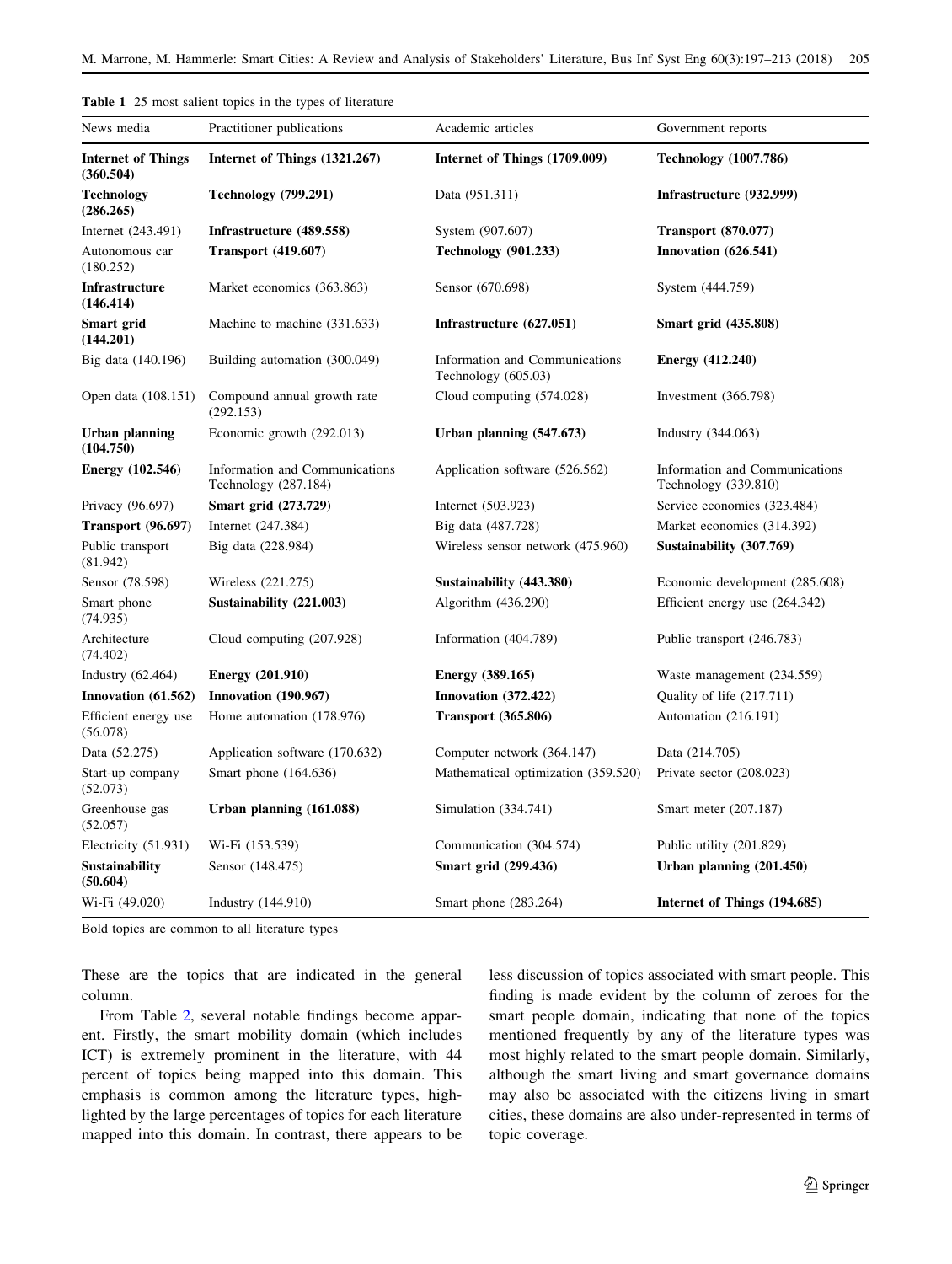<span id="page-8-0"></span>

|  |  |  |  |  |  |  |  |  | <b>Table 1</b> 25 most salient topics in the types of literature |  |
|--|--|--|--|--|--|--|--|--|------------------------------------------------------------------|--|
|--|--|--|--|--|--|--|--|--|------------------------------------------------------------------|--|

| News media                             | Practitioner publications                              | Academic articles                                       | Government reports                                       |  |  |  |
|----------------------------------------|--------------------------------------------------------|---------------------------------------------------------|----------------------------------------------------------|--|--|--|
| <b>Internet of Things</b><br>(360.504) | Internet of Things (1321.267)                          | Internet of Things (1709.009)                           | <b>Technology</b> (1007.786)                             |  |  |  |
| Technology<br>(286.265)                | <b>Technology</b> (799.291)                            | Data (951.311)                                          | Infrastructure (932.999)                                 |  |  |  |
| Internet $(243.491)$                   | Infrastructure (489.558)                               | System (907.607)                                        | <b>Transport</b> (870.077)                               |  |  |  |
| Autonomous car<br>(180.252)            | <b>Transport (419.607)</b>                             | <b>Technology</b> (901.233)                             | Innovation $(626.541)$                                   |  |  |  |
| Infrastructure<br>(146.414)            | Market economics (363.863)                             | Sensor (670.698)                                        | System (444.759)                                         |  |  |  |
| Smart grid<br>(144.201)                | Machine to machine (331.633)                           | Infrastructure (627.051)                                | <b>Smart grid (435.808)</b>                              |  |  |  |
| Big data (140.196)                     | Building automation (300.049)                          | Information and Communications<br>Technology $(605.03)$ | <b>Energy</b> (412.240)                                  |  |  |  |
| Open data (108.151)                    | Compound annual growth rate<br>(292.153)               | Cloud computing $(574.028)$                             | Investment $(366.798)$                                   |  |  |  |
| <b>Urban planning</b><br>(104.750)     | Economic growth (292.013)                              | Urban planning $(547.673)$                              | Industry (344.063)                                       |  |  |  |
| <b>Energy</b> (102.546)                | Information and Communications<br>Technology (287.184) | Application software (526.562)                          | Information and Communications<br>Technology $(339.810)$ |  |  |  |
| Privacy (96.697)                       | <b>Smart grid</b> (273.729)                            | Internet (503.923)                                      | Service economics (323.484)                              |  |  |  |
| <b>Transport</b> (96.697)              | Internet (247.384)                                     | Big data (487.728)                                      | Market economics (314.392)                               |  |  |  |
| Public transport<br>(81.942)           | Big data (228.984)                                     | Wireless sensor network (475.960)                       | Sustainability (307.769)                                 |  |  |  |
| Sensor (78.598)                        | Wireless (221.275)                                     | Sustainability (443.380)                                | Economic development (285.608)                           |  |  |  |
| Smart phone<br>(74.935)                | Sustainability (221.003)                               | Algorithm (436.290)                                     | Efficient energy use $(264.342)$                         |  |  |  |
| Architecture<br>(74.402)               | Cloud computing (207.928)                              | Information (404.789)                                   | Public transport (246.783)                               |  |  |  |
| Industry $(62.464)$                    | <b>Energy</b> (201.910)                                | <b>Energy</b> (389.165)                                 | Waste management (234.559)                               |  |  |  |
| Innovation (61.562)                    | Innovation (190.967)                                   | <b>Innovation</b> (372.422)                             | Quality of life $(217.711)$                              |  |  |  |
| Efficient energy use<br>(56.078)       | Home automation (178.976)                              | <b>Transport</b> (365.806)                              | Automation (216.191)                                     |  |  |  |
| Data (52.275)                          | Application software (170.632)                         | Computer network (364.147)                              | Data (214.705)                                           |  |  |  |
| Start-up company<br>(52.073)           | Smart phone $(164.636)$                                | Mathematical optimization (359.520)                     | Private sector (208.023)                                 |  |  |  |
| Greenhouse gas<br>(52.057)             | Urban planning $(161.088)$                             | Simulation (334.741)                                    | Smart meter (207.187)                                    |  |  |  |
| Electricity (51.931)                   | Wi-Fi (153.539)                                        | Communication (304.574)                                 | Public utility (201.829)                                 |  |  |  |
| <b>Sustainability</b><br>(50.604)      | Sensor (148.475)                                       | <b>Smart grid</b> (299.436)                             | Urban planning $(201.450)$                               |  |  |  |
| Wi-Fi (49.020)                         | Industry $(144.910)$                                   | Smart phone (283.264)                                   | Internet of Things (194.685)                             |  |  |  |
|                                        |                                                        |                                                         |                                                          |  |  |  |

Bold topics are common to all literature types

These are the topics that are indicated in the general column.

From Table [2](#page-9-0), several notable findings become apparent. Firstly, the smart mobility domain (which includes ICT) is extremely prominent in the literature, with 44 percent of topics being mapped into this domain. This emphasis is common among the literature types, highlighted by the large percentages of topics for each literature mapped into this domain. In contrast, there appears to be less discussion of topics associated with smart people. This finding is made evident by the column of zeroes for the smart people domain, indicating that none of the topics mentioned frequently by any of the literature types was most highly related to the smart people domain. Similarly, although the smart living and smart governance domains may also be associated with the citizens living in smart cities, these domains are also under-represented in terms of topic coverage.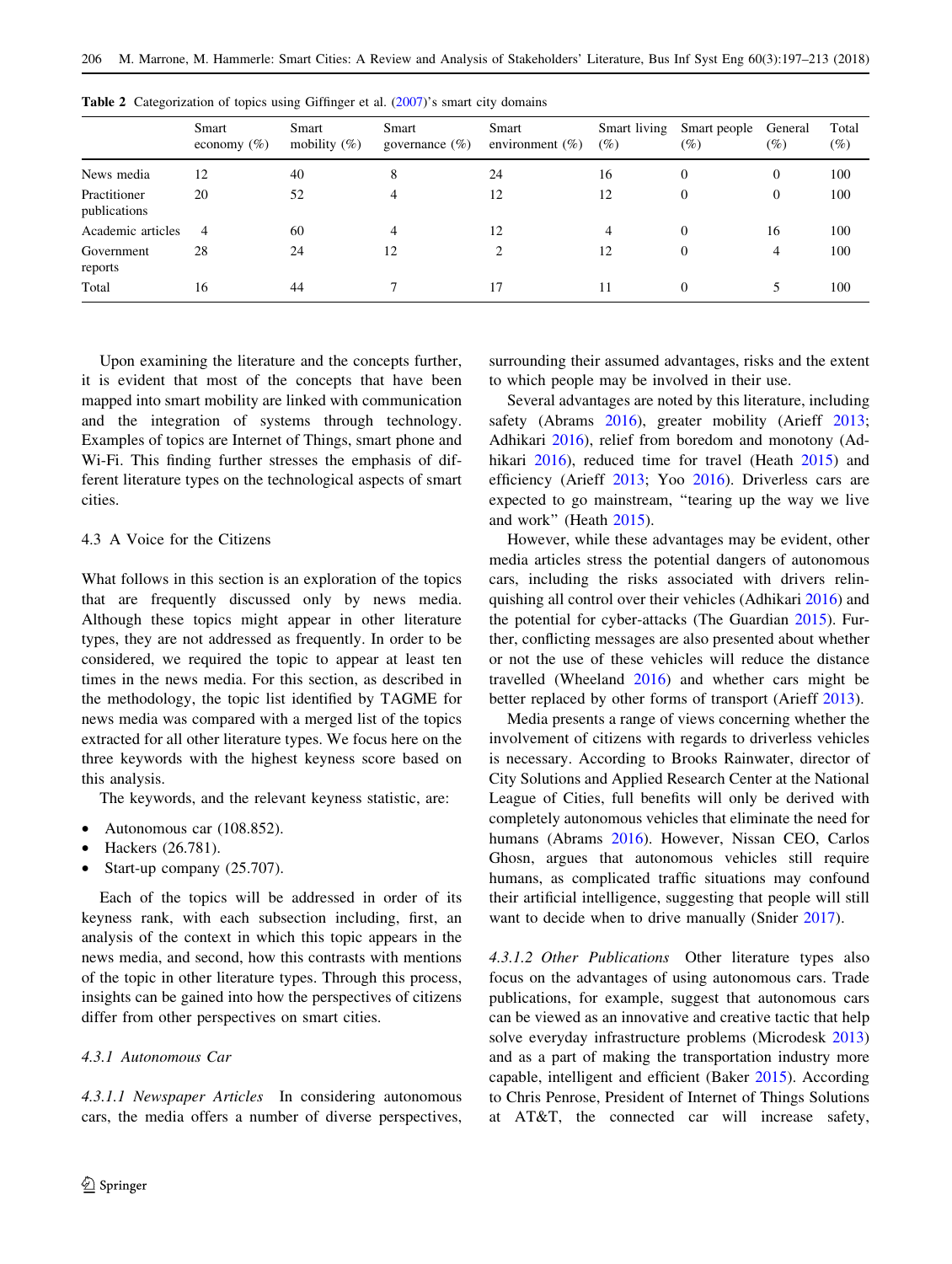|                              | Smart<br>economy $(\% )$ | Smart<br>mobility $(\%)$ | Smart<br>governance $(\%)$ | Smart<br>environment $(\% )$ | Smart living<br>(%) | Smart people<br>(%) | General<br>$\left( \% \right)$ | Total<br>$(\%)$ |
|------------------------------|--------------------------|--------------------------|----------------------------|------------------------------|---------------------|---------------------|--------------------------------|-----------------|
| News media                   | 12                       | 40                       | 8                          | 24                           | 16                  | $\Omega$            | $\overline{0}$                 | 100             |
| Practitioner<br>publications | 20                       | 52                       | 4                          | 12                           | 12                  | $\mathbf{0}$        | 0                              | 100             |
| Academic articles            | 4                        | 60                       | 4                          | 12                           | 4                   | $\mathbf{0}$        | 16                             | 100             |
| Government<br>reports        | 28                       | 24                       | 12                         | ↑                            | 12                  | $\mathbf{0}$        | 4                              | 100             |
| Total                        | 16                       | 44                       | ⇁                          | 17                           | 11                  | $\Omega$            | 5                              | 100             |

<span id="page-9-0"></span>Table 2 Categorization of topics using Giffinger et al. ([2007\)](#page-14-0)'s smart city domains

Upon examining the literature and the concepts further, it is evident that most of the concepts that have been mapped into smart mobility are linked with communication and the integration of systems through technology. Examples of topics are Internet of Things, smart phone and Wi-Fi. This finding further stresses the emphasis of different literature types on the technological aspects of smart cities.

# 4.3 A Voice for the Citizens

What follows in this section is an exploration of the topics that are frequently discussed only by news media. Although these topics might appear in other literature types, they are not addressed as frequently. In order to be considered, we required the topic to appear at least ten times in the news media. For this section, as described in the methodology, the topic list identified by TAGME for news media was compared with a merged list of the topics extracted for all other literature types. We focus here on the three keywords with the highest keyness score based on this analysis.

The keywords, and the relevant keyness statistic, are:

- Autonomous car (108.852).
- Hackers (26.781).
- Start-up company (25.707).

Each of the topics will be addressed in order of its keyness rank, with each subsection including, first, an analysis of the context in which this topic appears in the news media, and second, how this contrasts with mentions of the topic in other literature types. Through this process, insights can be gained into how the perspectives of citizens differ from other perspectives on smart cities.

## 4.3.1 Autonomous Car

4.3.1.1 Newspaper Articles In considering autonomous cars, the media offers a number of diverse perspectives,

surrounding their assumed advantages, risks and the extent to which people may be involved in their use.

Several advantages are noted by this literature, including safety (Abrams [2016\)](#page-13-0), greater mobility (Arieff [2013](#page-14-0); Adhikari [2016](#page-13-0)), relief from boredom and monotony (Ad-hikari [2016\)](#page-13-0), reduced time for travel (Heath [2015\)](#page-14-0) and efficiency (Arieff [2013;](#page-14-0) Yoo [2016\)](#page-16-0). Driverless cars are expected to go mainstream, ''tearing up the way we live and work'' (Heath [2015\)](#page-14-0).

However, while these advantages may be evident, other media articles stress the potential dangers of autonomous cars, including the risks associated with drivers relinquishing all control over their vehicles (Adhikari [2016](#page-13-0)) and the potential for cyber-attacks (The Guardian [2015](#page-15-0)). Further, conflicting messages are also presented about whether or not the use of these vehicles will reduce the distance travelled (Wheeland [2016\)](#page-16-0) and whether cars might be better replaced by other forms of transport (Arieff [2013](#page-14-0)).

Media presents a range of views concerning whether the involvement of citizens with regards to driverless vehicles is necessary. According to Brooks Rainwater, director of City Solutions and Applied Research Center at the National League of Cities, full benefits will only be derived with completely autonomous vehicles that eliminate the need for humans (Abrams [2016\)](#page-13-0). However, Nissan CEO, Carlos Ghosn, argues that autonomous vehicles still require humans, as complicated traffic situations may confound their artificial intelligence, suggesting that people will still want to decide when to drive manually (Snider [2017\)](#page-15-0).

4.3.1.2 Other Publications Other literature types also focus on the advantages of using autonomous cars. Trade publications, for example, suggest that autonomous cars can be viewed as an innovative and creative tactic that help solve everyday infrastructure problems (Microdesk [2013\)](#page-15-0) and as a part of making the transportation industry more capable, intelligent and efficient (Baker [2015\)](#page-14-0). According to Chris Penrose, President of Internet of Things Solutions at AT&T, the connected car will increase safety,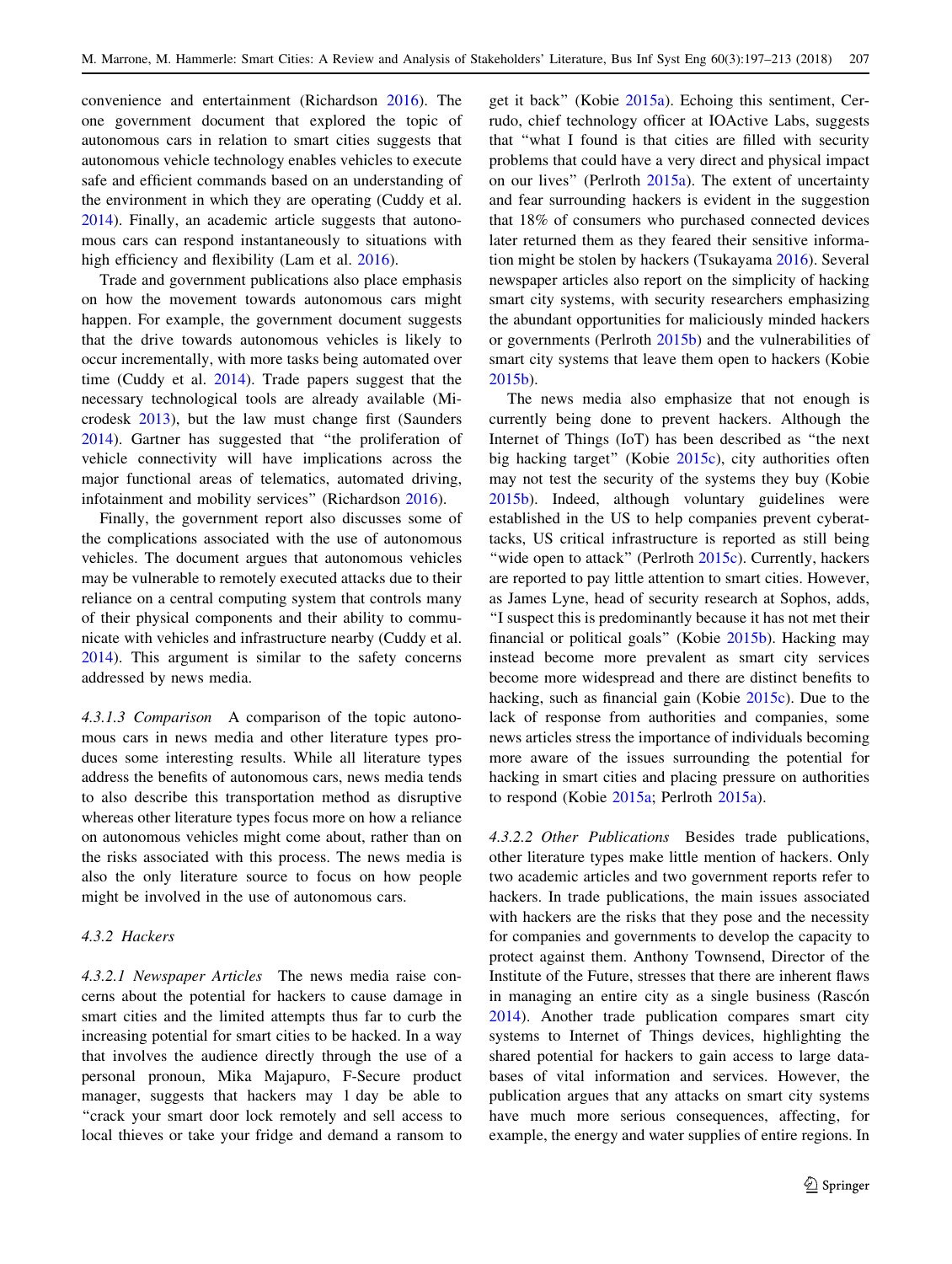convenience and entertainment (Richardson [2016](#page-15-0)). The one government document that explored the topic of autonomous cars in relation to smart cities suggests that autonomous vehicle technology enables vehicles to execute safe and efficient commands based on an understanding of the environment in which they are operating (Cuddy et al. [2014\)](#page-14-0). Finally, an academic article suggests that autonomous cars can respond instantaneously to situations with high efficiency and flexibility (Lam et al. [2016\)](#page-15-0).

Trade and government publications also place emphasis on how the movement towards autonomous cars might happen. For example, the government document suggests that the drive towards autonomous vehicles is likely to occur incrementally, with more tasks being automated over time (Cuddy et al. [2014\)](#page-14-0). Trade papers suggest that the necessary technological tools are already available (Microdesk [2013\)](#page-15-0), but the law must change first (Saunders [2014\)](#page-15-0). Gartner has suggested that ''the proliferation of vehicle connectivity will have implications across the major functional areas of telematics, automated driving, infotainment and mobility services'' (Richardson [2016\)](#page-15-0).

Finally, the government report also discusses some of the complications associated with the use of autonomous vehicles. The document argues that autonomous vehicles may be vulnerable to remotely executed attacks due to their reliance on a central computing system that controls many of their physical components and their ability to communicate with vehicles and infrastructure nearby (Cuddy et al. [2014\)](#page-14-0). This argument is similar to the safety concerns addressed by news media.

4.3.1.3 Comparison A comparison of the topic autonomous cars in news media and other literature types produces some interesting results. While all literature types address the benefits of autonomous cars, news media tends to also describe this transportation method as disruptive whereas other literature types focus more on how a reliance on autonomous vehicles might come about, rather than on the risks associated with this process. The news media is also the only literature source to focus on how people might be involved in the use of autonomous cars.

## 4.3.2 Hackers

4.3.2.1 Newspaper Articles The news media raise concerns about the potential for hackers to cause damage in smart cities and the limited attempts thus far to curb the increasing potential for smart cities to be hacked. In a way that involves the audience directly through the use of a personal pronoun, Mika Majapuro, F-Secure product manager, suggests that hackers may 1 day be able to ''crack your smart door lock remotely and sell access to local thieves or take your fridge and demand a ransom to get it back'' (Kobie [2015a](#page-14-0)). Echoing this sentiment, Cerrudo, chief technology officer at IOActive Labs, suggests that ''what I found is that cities are filled with security problems that could have a very direct and physical impact on our lives'' (Perlroth [2015a](#page-15-0)). The extent of uncertainty and fear surrounding hackers is evident in the suggestion that 18% of consumers who purchased connected devices later returned them as they feared their sensitive information might be stolen by hackers (Tsukayama [2016\)](#page-16-0). Several newspaper articles also report on the simplicity of hacking smart city systems, with security researchers emphasizing the abundant opportunities for maliciously minded hackers or governments (Perlroth [2015b](#page-15-0)) and the vulnerabilities of smart city systems that leave them open to hackers (Kobie [2015b](#page-15-0)).

The news media also emphasize that not enough is currently being done to prevent hackers. Although the Internet of Things (IoT) has been described as ''the next big hacking target'' (Kobie [2015c\)](#page-15-0), city authorities often may not test the security of the systems they buy (Kobie [2015b](#page-15-0)). Indeed, although voluntary guidelines were established in the US to help companies prevent cyberattacks, US critical infrastructure is reported as still being "wide open to attack" (Perlroth [2015c\)](#page-15-0). Currently, hackers are reported to pay little attention to smart cities. However, as James Lyne, head of security research at Sophos, adds, ''I suspect this is predominantly because it has not met their financial or political goals'' (Kobie [2015b\)](#page-15-0). Hacking may instead become more prevalent as smart city services become more widespread and there are distinct benefits to hacking, such as financial gain (Kobie [2015c](#page-15-0)). Due to the lack of response from authorities and companies, some news articles stress the importance of individuals becoming more aware of the issues surrounding the potential for hacking in smart cities and placing pressure on authorities to respond (Kobie [2015a;](#page-14-0) Perlroth [2015a\)](#page-15-0).

4.3.2.2 Other Publications Besides trade publications, other literature types make little mention of hackers. Only two academic articles and two government reports refer to hackers. In trade publications, the main issues associated with hackers are the risks that they pose and the necessity for companies and governments to develop the capacity to protect against them. Anthony Townsend, Director of the Institute of the Future, stresses that there are inherent flaws in managing an entire city as a single business (Rascón [2014](#page-15-0)). Another trade publication compares smart city systems to Internet of Things devices, highlighting the shared potential for hackers to gain access to large databases of vital information and services. However, the publication argues that any attacks on smart city systems have much more serious consequences, affecting, for example, the energy and water supplies of entire regions. In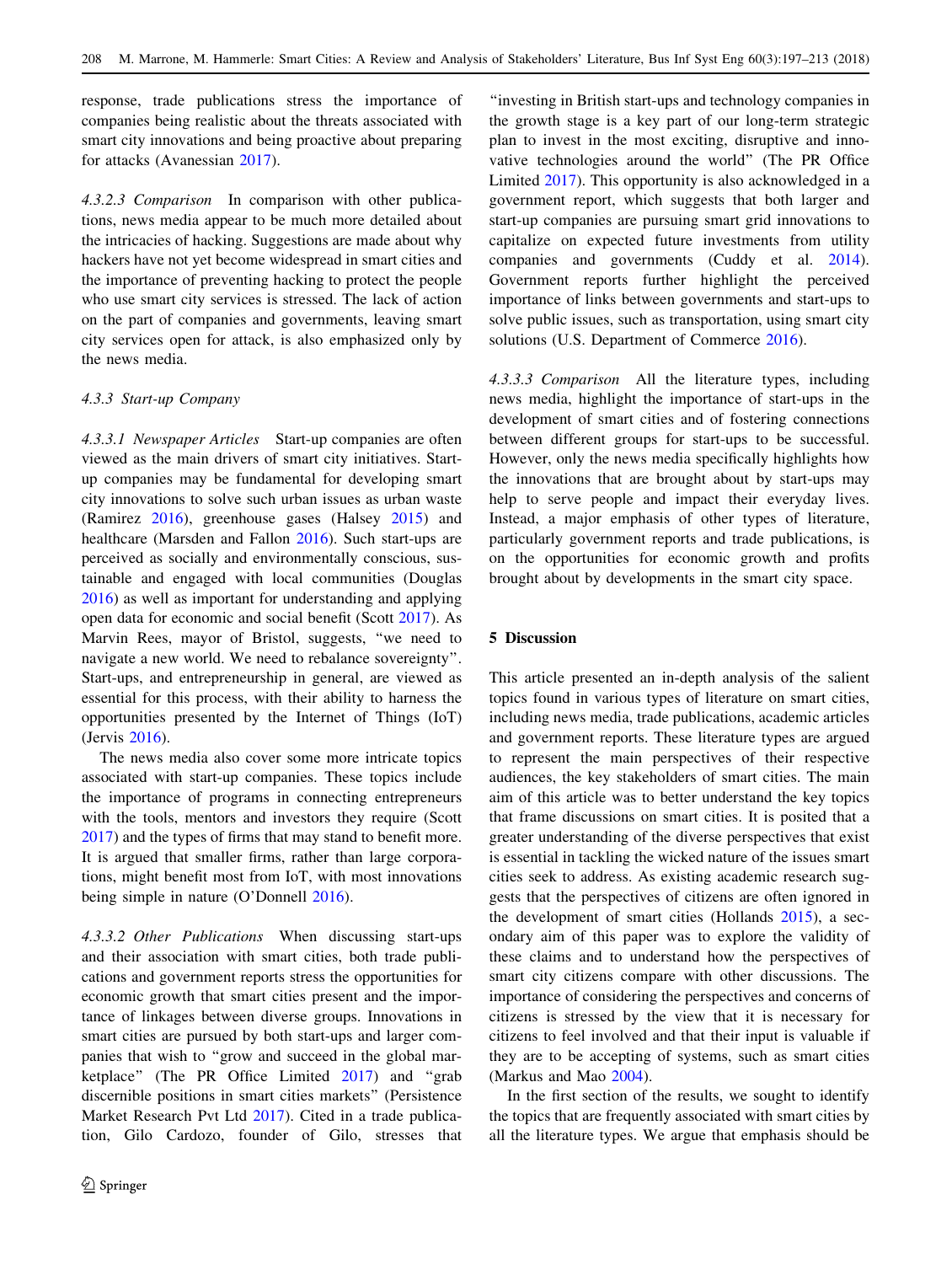response, trade publications stress the importance of companies being realistic about the threats associated with smart city innovations and being proactive about preparing for attacks (Avanessian [2017\)](#page-14-0).

4.3.2.3 Comparison In comparison with other publications, news media appear to be much more detailed about the intricacies of hacking. Suggestions are made about why hackers have not yet become widespread in smart cities and the importance of preventing hacking to protect the people who use smart city services is stressed. The lack of action on the part of companies and governments, leaving smart city services open for attack, is also emphasized only by the news media.

## 4.3.3 Start-up Company

4.3.3.1 Newspaper Articles Start-up companies are often viewed as the main drivers of smart city initiatives. Startup companies may be fundamental for developing smart city innovations to solve such urban issues as urban waste (Ramirez [2016\)](#page-15-0), greenhouse gases (Halsey [2015\)](#page-14-0) and healthcare (Marsden and Fallon [2016](#page-15-0)). Such start-ups are perceived as socially and environmentally conscious, sustainable and engaged with local communities (Douglas [2016\)](#page-14-0) as well as important for understanding and applying open data for economic and social benefit (Scott [2017](#page-15-0)). As Marvin Rees, mayor of Bristol, suggests, ''we need to navigate a new world. We need to rebalance sovereignty''. Start-ups, and entrepreneurship in general, are viewed as essential for this process, with their ability to harness the opportunities presented by the Internet of Things (IoT) (Jervis [2016\)](#page-14-0).

The news media also cover some more intricate topics associated with start-up companies. These topics include the importance of programs in connecting entrepreneurs with the tools, mentors and investors they require (Scott [2017\)](#page-15-0) and the types of firms that may stand to benefit more. It is argued that smaller firms, rather than large corporations, might benefit most from IoT, with most innovations being simple in nature (O'Donnell [2016](#page-15-0)).

4.3.3.2 Other Publications When discussing start-ups and their association with smart cities, both trade publications and government reports stress the opportunities for economic growth that smart cities present and the importance of linkages between diverse groups. Innovations in smart cities are pursued by both start-ups and larger companies that wish to ''grow and succeed in the global marketplace'' (The PR Office Limited [2017\)](#page-15-0) and ''grab discernible positions in smart cities markets'' (Persistence Market Research Pvt Ltd [2017](#page-15-0)). Cited in a trade publication, Gilo Cardozo, founder of Gilo, stresses that

''investing in British start-ups and technology companies in the growth stage is a key part of our long-term strategic plan to invest in the most exciting, disruptive and innovative technologies around the world'' (The PR Office Limited [2017\)](#page-15-0). This opportunity is also acknowledged in a government report, which suggests that both larger and start-up companies are pursuing smart grid innovations to capitalize on expected future investments from utility companies and governments (Cuddy et al. [2014](#page-14-0)). Government reports further highlight the perceived importance of links between governments and start-ups to solve public issues, such as transportation, using smart city solutions (U.S. Department of Commerce [2016](#page-16-0)).

4.3.3.3 Comparison All the literature types, including news media, highlight the importance of start-ups in the development of smart cities and of fostering connections between different groups for start-ups to be successful. However, only the news media specifically highlights how the innovations that are brought about by start-ups may help to serve people and impact their everyday lives. Instead, a major emphasis of other types of literature, particularly government reports and trade publications, is on the opportunities for economic growth and profits brought about by developments in the smart city space.

# 5 Discussion

This article presented an in-depth analysis of the salient topics found in various types of literature on smart cities, including news media, trade publications, academic articles and government reports. These literature types are argued to represent the main perspectives of their respective audiences, the key stakeholders of smart cities. The main aim of this article was to better understand the key topics that frame discussions on smart cities. It is posited that a greater understanding of the diverse perspectives that exist is essential in tackling the wicked nature of the issues smart cities seek to address. As existing academic research suggests that the perspectives of citizens are often ignored in the development of smart cities (Hollands [2015\)](#page-14-0), a secondary aim of this paper was to explore the validity of these claims and to understand how the perspectives of smart city citizens compare with other discussions. The importance of considering the perspectives and concerns of citizens is stressed by the view that it is necessary for citizens to feel involved and that their input is valuable if they are to be accepting of systems, such as smart cities (Markus and Mao [2004\)](#page-15-0).

In the first section of the results, we sought to identify the topics that are frequently associated with smart cities by all the literature types. We argue that emphasis should be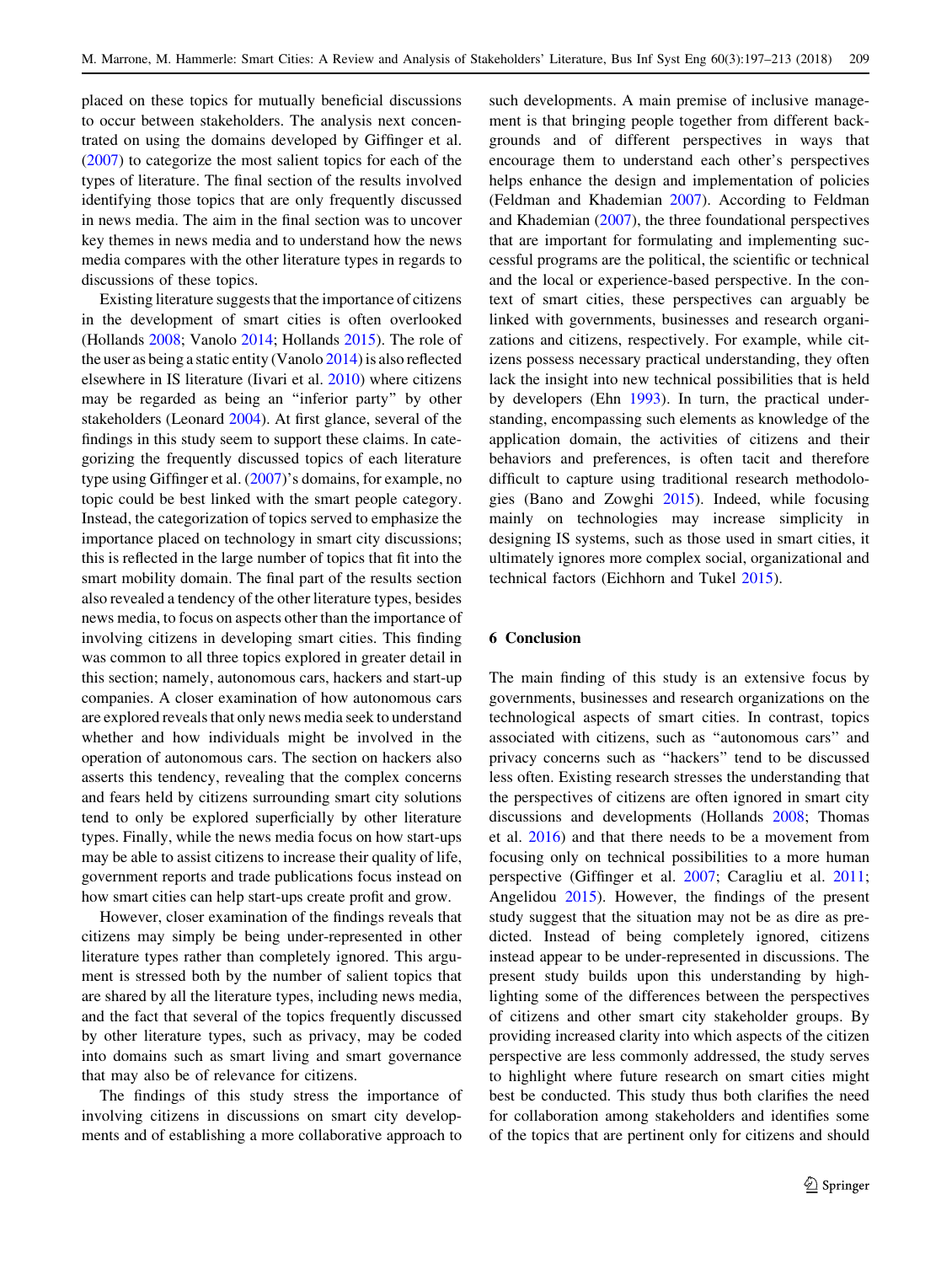placed on these topics for mutually beneficial discussions to occur between stakeholders. The analysis next concentrated on using the domains developed by Giffinger et al. [\(2007](#page-14-0)) to categorize the most salient topics for each of the types of literature. The final section of the results involved identifying those topics that are only frequently discussed in news media. The aim in the final section was to uncover key themes in news media and to understand how the news media compares with the other literature types in regards to discussions of these topics.

Existing literature suggests that the importance of citizens in the development of smart cities is often overlooked (Hollands [2008](#page-14-0); Vanolo [2014;](#page-16-0) Hollands [2015](#page-14-0)). The role of the user as being a static entity (Vanolo [2014\)](#page-16-0) is also reflected elsewhere in IS literature (Iivari et al. [2010](#page-14-0)) where citizens may be regarded as being an ''inferior party'' by other stakeholders (Leonard [2004](#page-15-0)). At first glance, several of the findings in this study seem to support these claims. In categorizing the frequently discussed topics of each literature type using Giffinger et al. [\(2007](#page-14-0))'s domains, for example, no topic could be best linked with the smart people category. Instead, the categorization of topics served to emphasize the importance placed on technology in smart city discussions; this is reflected in the large number of topics that fit into the smart mobility domain. The final part of the results section also revealed a tendency of the other literature types, besides news media, to focus on aspects other than the importance of involving citizens in developing smart cities. This finding was common to all three topics explored in greater detail in this section; namely, autonomous cars, hackers and start-up companies. A closer examination of how autonomous cars are explored reveals that only news media seek to understand whether and how individuals might be involved in the operation of autonomous cars. The section on hackers also asserts this tendency, revealing that the complex concerns and fears held by citizens surrounding smart city solutions tend to only be explored superficially by other literature types. Finally, while the news media focus on how start-ups may be able to assist citizens to increase their quality of life, government reports and trade publications focus instead on how smart cities can help start-ups create profit and grow.

However, closer examination of the findings reveals that citizens may simply be being under-represented in other literature types rather than completely ignored. This argument is stressed both by the number of salient topics that are shared by all the literature types, including news media, and the fact that several of the topics frequently discussed by other literature types, such as privacy, may be coded into domains such as smart living and smart governance that may also be of relevance for citizens.

The findings of this study stress the importance of involving citizens in discussions on smart city developments and of establishing a more collaborative approach to such developments. A main premise of inclusive management is that bringing people together from different backgrounds and of different perspectives in ways that encourage them to understand each other's perspectives helps enhance the design and implementation of policies (Feldman and Khademian [2007](#page-14-0)). According to Feldman and Khademian [\(2007](#page-14-0)), the three foundational perspectives that are important for formulating and implementing successful programs are the political, the scientific or technical and the local or experience-based perspective. In the context of smart cities, these perspectives can arguably be linked with governments, businesses and research organizations and citizens, respectively. For example, while citizens possess necessary practical understanding, they often lack the insight into new technical possibilities that is held by developers (Ehn [1993\)](#page-14-0). In turn, the practical understanding, encompassing such elements as knowledge of the application domain, the activities of citizens and their behaviors and preferences, is often tacit and therefore difficult to capture using traditional research methodologies (Bano and Zowghi [2015\)](#page-14-0). Indeed, while focusing mainly on technologies may increase simplicity in designing IS systems, such as those used in smart cities, it ultimately ignores more complex social, organizational and technical factors (Eichhorn and Tukel [2015](#page-14-0)).

# 6 Conclusion

The main finding of this study is an extensive focus by governments, businesses and research organizations on the technological aspects of smart cities. In contrast, topics associated with citizens, such as ''autonomous cars'' and privacy concerns such as ''hackers'' tend to be discussed less often. Existing research stresses the understanding that the perspectives of citizens are often ignored in smart city discussions and developments (Hollands [2008;](#page-14-0) Thomas et al. [2016\)](#page-16-0) and that there needs to be a movement from focusing only on technical possibilities to a more human perspective (Giffinger et al. [2007;](#page-14-0) Caragliu et al. [2011](#page-14-0); Angelidou [2015\)](#page-13-0). However, the findings of the present study suggest that the situation may not be as dire as predicted. Instead of being completely ignored, citizens instead appear to be under-represented in discussions. The present study builds upon this understanding by highlighting some of the differences between the perspectives of citizens and other smart city stakeholder groups. By providing increased clarity into which aspects of the citizen perspective are less commonly addressed, the study serves to highlight where future research on smart cities might best be conducted. This study thus both clarifies the need for collaboration among stakeholders and identifies some of the topics that are pertinent only for citizens and should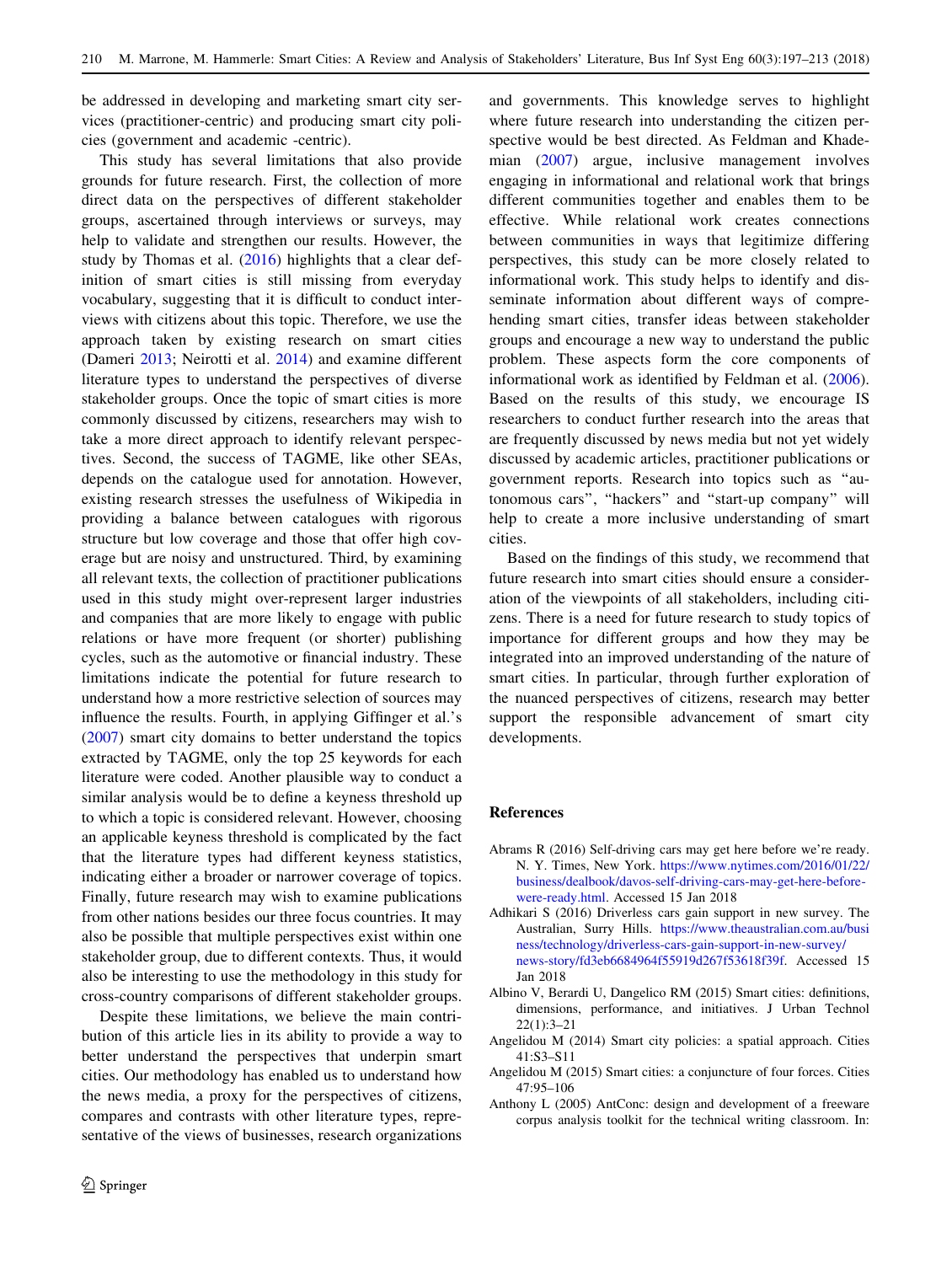<span id="page-13-0"></span>be addressed in developing and marketing smart city services (practitioner-centric) and producing smart city policies (government and academic -centric).

This study has several limitations that also provide grounds for future research. First, the collection of more direct data on the perspectives of different stakeholder groups, ascertained through interviews or surveys, may help to validate and strengthen our results. However, the study by Thomas et al. ([2016\)](#page-16-0) highlights that a clear definition of smart cities is still missing from everyday vocabulary, suggesting that it is difficult to conduct interviews with citizens about this topic. Therefore, we use the approach taken by existing research on smart cities (Dameri [2013;](#page-14-0) Neirotti et al. [2014\)](#page-15-0) and examine different literature types to understand the perspectives of diverse stakeholder groups. Once the topic of smart cities is more commonly discussed by citizens, researchers may wish to take a more direct approach to identify relevant perspectives. Second, the success of TAGME, like other SEAs, depends on the catalogue used for annotation. However, existing research stresses the usefulness of Wikipedia in providing a balance between catalogues with rigorous structure but low coverage and those that offer high coverage but are noisy and unstructured. Third, by examining all relevant texts, the collection of practitioner publications used in this study might over-represent larger industries and companies that are more likely to engage with public relations or have more frequent (or shorter) publishing cycles, such as the automotive or financial industry. These limitations indicate the potential for future research to understand how a more restrictive selection of sources may influence the results. Fourth, in applying Giffinger et al.'s [\(2007](#page-14-0)) smart city domains to better understand the topics extracted by TAGME, only the top 25 keywords for each literature were coded. Another plausible way to conduct a similar analysis would be to define a keyness threshold up to which a topic is considered relevant. However, choosing an applicable keyness threshold is complicated by the fact that the literature types had different keyness statistics, indicating either a broader or narrower coverage of topics. Finally, future research may wish to examine publications from other nations besides our three focus countries. It may also be possible that multiple perspectives exist within one stakeholder group, due to different contexts. Thus, it would also be interesting to use the methodology in this study for cross-country comparisons of different stakeholder groups.

Despite these limitations, we believe the main contribution of this article lies in its ability to provide a way to better understand the perspectives that underpin smart cities. Our methodology has enabled us to understand how the news media, a proxy for the perspectives of citizens, compares and contrasts with other literature types, representative of the views of businesses, research organizations

and governments. This knowledge serves to highlight where future research into understanding the citizen perspective would be best directed. As Feldman and Khademian ([2007\)](#page-14-0) argue, inclusive management involves engaging in informational and relational work that brings different communities together and enables them to be effective. While relational work creates connections between communities in ways that legitimize differing perspectives, this study can be more closely related to informational work. This study helps to identify and disseminate information about different ways of comprehending smart cities, transfer ideas between stakeholder groups and encourage a new way to understand the public problem. These aspects form the core components of informational work as identified by Feldman et al. [\(2006](#page-14-0)). Based on the results of this study, we encourage IS researchers to conduct further research into the areas that are frequently discussed by news media but not yet widely discussed by academic articles, practitioner publications or government reports. Research into topics such as ''autonomous cars'', ''hackers'' and ''start-up company'' will help to create a more inclusive understanding of smart cities.

Based on the findings of this study, we recommend that future research into smart cities should ensure a consideration of the viewpoints of all stakeholders, including citizens. There is a need for future research to study topics of importance for different groups and how they may be integrated into an improved understanding of the nature of smart cities. In particular, through further exploration of the nuanced perspectives of citizens, research may better support the responsible advancement of smart city developments.

#### References

- Abrams R (2016) Self-driving cars may get here before we're ready. N. Y. Times, New York. [https://www.nytimes.com/2016/01/22/](https://www.nytimes.com/2016/01/22/business/dealbook/davos-self-driving-cars-may-get-here-before-were-ready.html) [business/dealbook/davos-self-driving-cars-may-get-here-before](https://www.nytimes.com/2016/01/22/business/dealbook/davos-self-driving-cars-may-get-here-before-were-ready.html)[were-ready.html](https://www.nytimes.com/2016/01/22/business/dealbook/davos-self-driving-cars-may-get-here-before-were-ready.html). Accessed 15 Jan 2018
- Adhikari S (2016) Driverless cars gain support in new survey. The Australian, Surry Hills. [https://www.theaustralian.com.au/busi](https://www.theaustralian.com.au/business/technology/driverless-cars-gain-support-in-new-survey/news-story/fd3eb6684964f55919d267f53618f39f) [ness/technology/driverless-cars-gain-support-in-new-survey/](https://www.theaustralian.com.au/business/technology/driverless-cars-gain-support-in-new-survey/news-story/fd3eb6684964f55919d267f53618f39f) [news-story/fd3eb6684964f55919d267f53618f39f.](https://www.theaustralian.com.au/business/technology/driverless-cars-gain-support-in-new-survey/news-story/fd3eb6684964f55919d267f53618f39f) Accessed 15 Jan 2018
- Albino V, Berardi U, Dangelico RM (2015) Smart cities: definitions, dimensions, performance, and initiatives. J Urban Technol 22(1):3–21
- Angelidou M (2014) Smart city policies: a spatial approach. Cities 41:S3–S11
- Angelidou M (2015) Smart cities: a conjuncture of four forces. Cities 47:95–106
- Anthony L (2005) AntConc: design and development of a freeware corpus analysis toolkit for the technical writing classroom. In: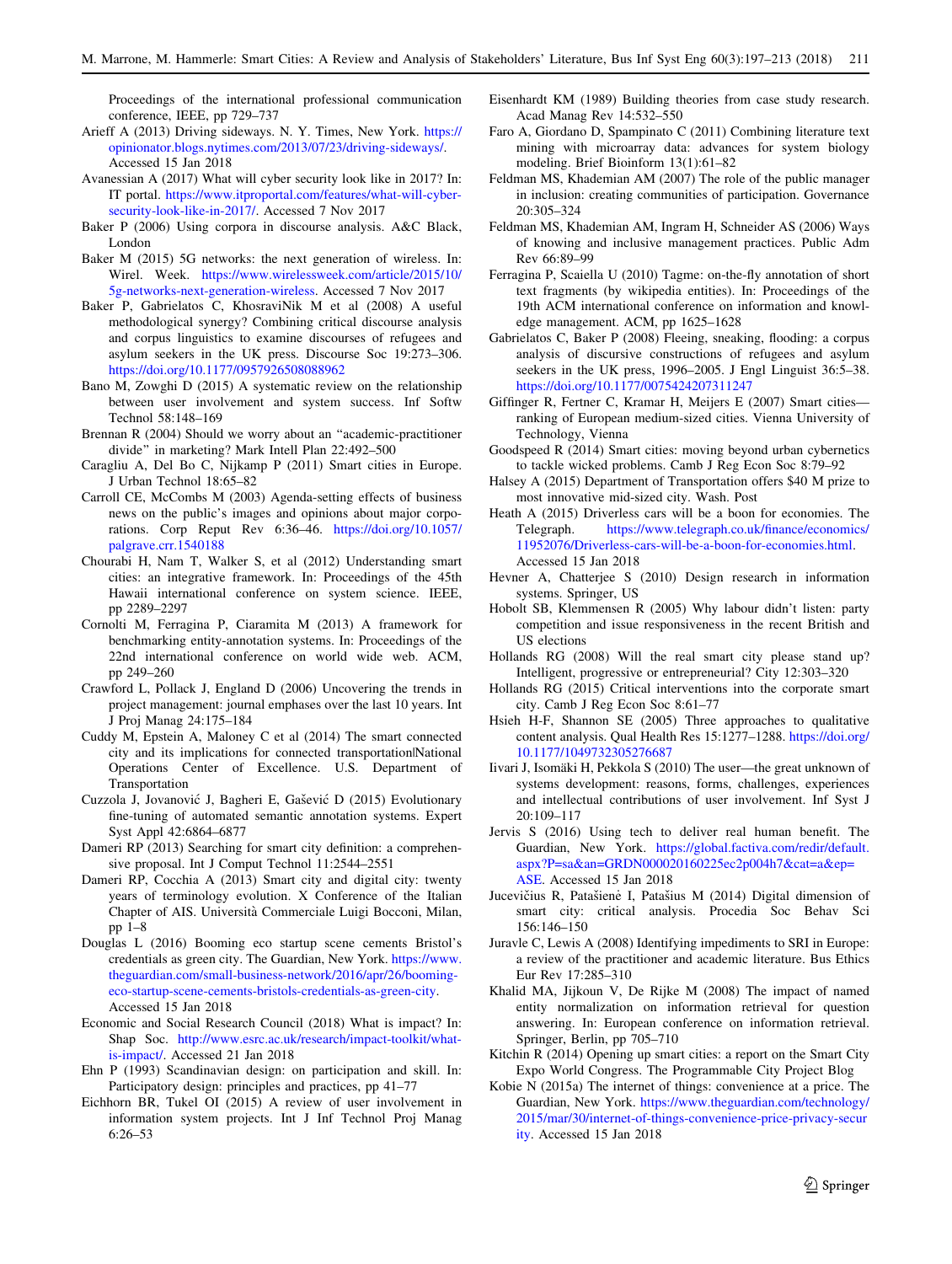<span id="page-14-0"></span>Proceedings of the international professional communication conference, IEEE, pp 729–737

- Arieff A (2013) Driving sideways. N. Y. Times, New York. [https://](https://opinionator.blogs.nytimes.com/2013/07/23/driving-sideways/) [opinionator.blogs.nytimes.com/2013/07/23/driving-sideways/.](https://opinionator.blogs.nytimes.com/2013/07/23/driving-sideways/) Accessed 15 Jan 2018
- Avanessian A (2017) What will cyber security look like in 2017? In: IT portal. [https://www.itproportal.com/features/what-will-cyber](https://www.itproportal.com/features/what-will-cyber-security-look-like-in-2017/)[security-look-like-in-2017/](https://www.itproportal.com/features/what-will-cyber-security-look-like-in-2017/). Accessed 7 Nov 2017
- Baker P (2006) Using corpora in discourse analysis. A&C Black, London
- Baker M (2015) 5G networks: the next generation of wireless. In: Wirel. Week. [https://www.wirelessweek.com/article/2015/10/](https://www.wirelessweek.com/article/2015/10/5g-networks-next-generation-wireless) [5g-networks-next-generation-wireless](https://www.wirelessweek.com/article/2015/10/5g-networks-next-generation-wireless). Accessed 7 Nov 2017
- Baker P, Gabrielatos C, KhosraviNik M et al (2008) A useful methodological synergy? Combining critical discourse analysis and corpus linguistics to examine discourses of refugees and asylum seekers in the UK press. Discourse Soc 19:273–306. <https://doi.org/10.1177/0957926508088962>
- Bano M, Zowghi D (2015) A systematic review on the relationship between user involvement and system success. Inf Softw Technol 58:148–169
- Brennan R (2004) Should we worry about an ''academic-practitioner divide'' in marketing? Mark Intell Plan 22:492–500
- Caragliu A, Del Bo C, Nijkamp P (2011) Smart cities in Europe. J Urban Technol 18:65–82
- Carroll CE, McCombs M (2003) Agenda-setting effects of business news on the public's images and opinions about major corporations. Corp Reput Rev 6:36–46. [https://doi.org/10.1057/](https://doi.org/10.1057/palgrave.crr.1540188) [palgrave.crr.1540188](https://doi.org/10.1057/palgrave.crr.1540188)
- Chourabi H, Nam T, Walker S, et al (2012) Understanding smart cities: an integrative framework. In: Proceedings of the 45th Hawaii international conference on system science. IEEE, pp 2289–2297
- Cornolti M, Ferragina P, Ciaramita M (2013) A framework for benchmarking entity-annotation systems. In: Proceedings of the 22nd international conference on world wide web. ACM, pp 249–260
- Crawford L, Pollack J, England D (2006) Uncovering the trends in project management: journal emphases over the last 10 years. Int J Proj Manag 24:175–184
- Cuddy M, Epstein A, Maloney C et al (2014) The smart connected city and its implications for connected transportation|National Operations Center of Excellence. U.S. Department of Transportation
- Cuzzola J, Jovanović J, Bagheri E, Gašević D (2015) Evolutionary fine-tuning of automated semantic annotation systems. Expert Syst Appl 42:6864–6877
- Dameri RP (2013) Searching for smart city definition: a comprehensive proposal. Int J Comput Technol 11:2544–2551
- Dameri RP, Cocchia A (2013) Smart city and digital city: twenty years of terminology evolution. X Conference of the Italian Chapter of AIS. Universita` Commerciale Luigi Bocconi, Milan, pp 1–8
- Douglas L (2016) Booming eco startup scene cements Bristol's credentials as green city. The Guardian, New York. [https://www.](https://www.theguardian.com/small-business-network/2016/apr/26/booming-eco-startup-scene-cements-bristols-credentials-as-green-city) [theguardian.com/small-business-network/2016/apr/26/booming](https://www.theguardian.com/small-business-network/2016/apr/26/booming-eco-startup-scene-cements-bristols-credentials-as-green-city)[eco-startup-scene-cements-bristols-credentials-as-green-city.](https://www.theguardian.com/small-business-network/2016/apr/26/booming-eco-startup-scene-cements-bristols-credentials-as-green-city) Accessed 15 Jan 2018
- Economic and Social Research Council (2018) What is impact? In: Shap Soc. [http://www.esrc.ac.uk/research/impact-toolkit/what](http://www.esrc.ac.uk/research/impact-toolkit/what-is-impact/)[is-impact/](http://www.esrc.ac.uk/research/impact-toolkit/what-is-impact/). Accessed 21 Jan 2018
- Ehn P (1993) Scandinavian design: on participation and skill. In: Participatory design: principles and practices, pp 41–77
- Eichhorn BR, Tukel OI (2015) A review of user involvement in information system projects. Int J Inf Technol Proj Manag 6:26–53
- Eisenhardt KM (1989) Building theories from case study research. Acad Manag Rev 14:532–550
- Faro A, Giordano D, Spampinato C (2011) Combining literature text mining with microarray data: advances for system biology modeling. Brief Bioinform 13(1):61–82
- Feldman MS, Khademian AM (2007) The role of the public manager in inclusion: creating communities of participation. Governance 20:305–324
- Feldman MS, Khademian AM, Ingram H, Schneider AS (2006) Ways of knowing and inclusive management practices. Public Adm Rev 66:89–99
- Ferragina P, Scaiella U (2010) Tagme: on-the-fly annotation of short text fragments (by wikipedia entities). In: Proceedings of the 19th ACM international conference on information and knowledge management. ACM, pp 1625–1628
- Gabrielatos C, Baker P (2008) Fleeing, sneaking, flooding: a corpus analysis of discursive constructions of refugees and asylum seekers in the UK press, 1996–2005. J Engl Linguist 36:5–38. <https://doi.org/10.1177/0075424207311247>
- Giffinger R, Fertner C, Kramar H, Meijers E (2007) Smart cities ranking of European medium-sized cities. Vienna University of Technology, Vienna
- Goodspeed R (2014) Smart cities: moving beyond urban cybernetics to tackle wicked problems. Camb J Reg Econ Soc 8:79–92
- Halsey A (2015) Department of Transportation offers \$40 M prize to most innovative mid-sized city. Wash. Post
- Heath A (2015) Driverless cars will be a boon for economies. The Telegraph. [https://www.telegraph.co.uk/finance/economics/](https://www.telegraph.co.uk/finance/economics/11952076/Driverless-cars-will-be-a-boon-for-economies.html) [11952076/Driverless-cars-will-be-a-boon-for-economies.html.](https://www.telegraph.co.uk/finance/economics/11952076/Driverless-cars-will-be-a-boon-for-economies.html) Accessed 15 Jan 2018
- Hevner A, Chatterjee S (2010) Design research in information systems. Springer, US
- Hobolt SB, Klemmensen R (2005) Why labour didn't listen: party competition and issue responsiveness in the recent British and US elections
- Hollands RG (2008) Will the real smart city please stand up? Intelligent, progressive or entrepreneurial? City 12:303–320
- Hollands RG (2015) Critical interventions into the corporate smart city. Camb J Reg Econ Soc 8:61–77
- Hsieh H-F, Shannon SE (2005) Three approaches to qualitative content analysis. Qual Health Res 15:1277–1288. [https://doi.org/](https://doi.org/10.1177/1049732305276687) [10.1177/1049732305276687](https://doi.org/10.1177/1049732305276687)
- Iivari J, Isomäki H, Pekkola S (2010) The user—the great unknown of systems development: reasons, forms, challenges, experiences and intellectual contributions of user involvement. Inf Syst J 20:109–117
- Jervis S (2016) Using tech to deliver real human benefit. The Guardian, New York. [https://global.factiva.com/redir/default.](https://global.factiva.com/redir/default.aspx?P=sa%26an=GRDN000020160225ec2p004h7%26cat=a%26ep=ASE) [aspx?P=sa&an=GRDN000020160225ec2p004h7&cat=a&ep=](https://global.factiva.com/redir/default.aspx?P=sa%26an=GRDN000020160225ec2p004h7%26cat=a%26ep=ASE) [ASE](https://global.factiva.com/redir/default.aspx?P=sa%26an=GRDN000020160225ec2p004h7%26cat=a%26ep=ASE). Accessed 15 Jan 2018
- Jucevičius R, Patašienė I, Patašius M (2014) Digital dimension of smart city: critical analysis. Procedia Soc Behav Sci 156:146–150
- Juravle C, Lewis A (2008) Identifying impediments to SRI in Europe: a review of the practitioner and academic literature. Bus Ethics Eur Rev 17:285–310
- Khalid MA, Jijkoun V, De Rijke M (2008) The impact of named entity normalization on information retrieval for question answering. In: European conference on information retrieval. Springer, Berlin, pp 705–710
- Kitchin R (2014) Opening up smart cities: a report on the Smart City Expo World Congress. The Programmable City Project Blog
- Kobie N (2015a) The internet of things: convenience at a price. The Guardian, New York. [https://www.theguardian.com/technology/](https://www.theguardian.com/technology/2015/mar/30/internet-of-things-convenience-price-privacy-security) [2015/mar/30/internet-of-things-convenience-price-privacy-secur](https://www.theguardian.com/technology/2015/mar/30/internet-of-things-convenience-price-privacy-security) [ity](https://www.theguardian.com/technology/2015/mar/30/internet-of-things-convenience-price-privacy-security). Accessed 15 Jan 2018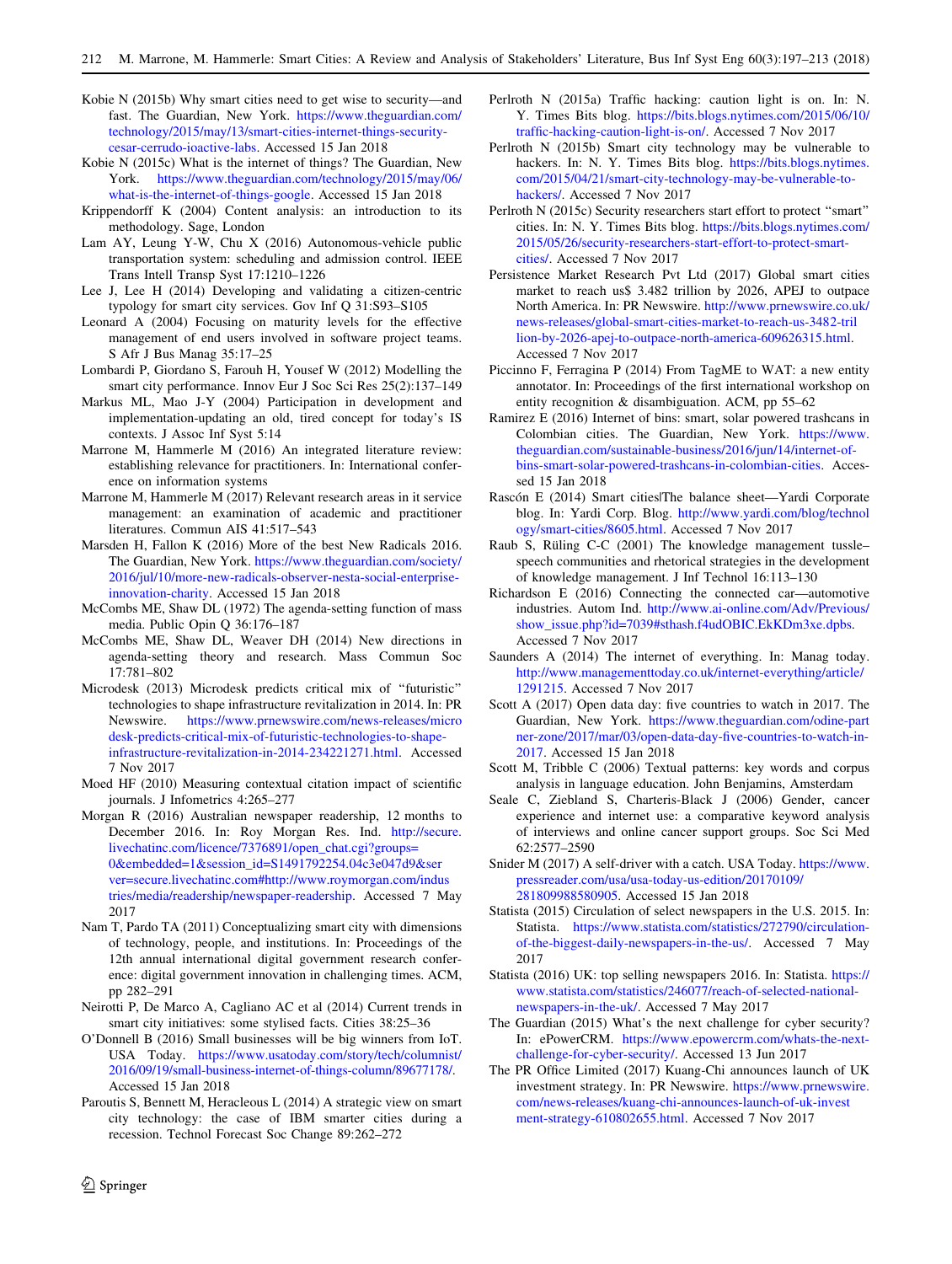- <span id="page-15-0"></span>Kobie N (2015b) Why smart cities need to get wise to security—and fast. The Guardian, New York. [https://www.theguardian.com/](https://www.theguardian.com/technology/2015/may/13/smart-cities-internet-things-security-cesar-cerrudo-ioactive-labs) [technology/2015/may/13/smart-cities-internet-things-security](https://www.theguardian.com/technology/2015/may/13/smart-cities-internet-things-security-cesar-cerrudo-ioactive-labs)[cesar-cerrudo-ioactive-labs.](https://www.theguardian.com/technology/2015/may/13/smart-cities-internet-things-security-cesar-cerrudo-ioactive-labs) Accessed 15 Jan 2018
- Kobie N (2015c) What is the internet of things? The Guardian, New York. [https://www.theguardian.com/technology/2015/may/06/](https://www.theguardian.com/technology/2015/may/06/what-is-the-internet-of-things-google) [what-is-the-internet-of-things-google](https://www.theguardian.com/technology/2015/may/06/what-is-the-internet-of-things-google). Accessed 15 Jan 2018
- Krippendorff K (2004) Content analysis: an introduction to its methodology. Sage, London
- Lam AY, Leung Y-W, Chu X (2016) Autonomous-vehicle public transportation system: scheduling and admission control. IEEE Trans Intell Transp Syst 17:1210–1226
- Lee J, Lee H (2014) Developing and validating a citizen-centric typology for smart city services. Gov Inf Q 31:S93–S105
- Leonard A (2004) Focusing on maturity levels for the effective management of end users involved in software project teams. S Afr J Bus Manag 35:17–25
- Lombardi P, Giordano S, Farouh H, Yousef W (2012) Modelling the smart city performance. Innov Eur J Soc Sci Res 25(2):137–149
- Markus ML, Mao J-Y (2004) Participation in development and implementation-updating an old, tired concept for today's IS contexts. J Assoc Inf Syst 5:14
- Marrone M, Hammerle M (2016) An integrated literature review: establishing relevance for practitioners. In: International conference on information systems
- Marrone M, Hammerle M (2017) Relevant research areas in it service management: an examination of academic and practitioner literatures. Commun AIS 41:517–543
- Marsden H, Fallon K (2016) More of the best New Radicals 2016. The Guardian, New York. [https://www.theguardian.com/society/](https://www.theguardian.com/society/2016/jul/10/more-new-radicals-observer-nesta-social-enterprise-innovation-charity) [2016/jul/10/more-new-radicals-observer-nesta-social-enterprise](https://www.theguardian.com/society/2016/jul/10/more-new-radicals-observer-nesta-social-enterprise-innovation-charity)[innovation-charity.](https://www.theguardian.com/society/2016/jul/10/more-new-radicals-observer-nesta-social-enterprise-innovation-charity) Accessed 15 Jan 2018
- McCombs ME, Shaw DL (1972) The agenda-setting function of mass media. Public Opin Q 36:176–187
- McCombs ME, Shaw DL, Weaver DH (2014) New directions in agenda-setting theory and research. Mass Commun Soc 17:781–802
- Microdesk (2013) Microdesk predicts critical mix of ''futuristic'' technologies to shape infrastructure revitalization in 2014. In: PR Newswire. [https://www.prnewswire.com/news-releases/micro](https://www.prnewswire.com/news-releases/microdesk-predicts-critical-mix-of-futuristic-technologies-to-shape-infrastructure-revitalization-in-2014-234221271.html) [desk-predicts-critical-mix-of-futuristic-technologies-to-shape](https://www.prnewswire.com/news-releases/microdesk-predicts-critical-mix-of-futuristic-technologies-to-shape-infrastructure-revitalization-in-2014-234221271.html)[infrastructure-revitalization-in-2014-234221271.html.](https://www.prnewswire.com/news-releases/microdesk-predicts-critical-mix-of-futuristic-technologies-to-shape-infrastructure-revitalization-in-2014-234221271.html) Accessed 7 Nov 2017
- Moed HF (2010) Measuring contextual citation impact of scientific journals. J Infometrics 4:265–277
- Morgan R (2016) Australian newspaper readership, 12 months to December 2016. In: Roy Morgan Res. Ind. [http://secure.](http://secure.livechatinc.com/licence/7376891/open_chat.cgi%3fgroups%3d0%26embedded%3d1%26session_id%3dS1491792254.04c3e047d9%26server%3dsecure.livechatinc.com%23www.roymorgan.com/industries/media/readership/newspaper-readership) [livechatinc.com/licence/7376891/open\\_chat.cgi?groups=](http://secure.livechatinc.com/licence/7376891/open_chat.cgi%3fgroups%3d0%26embedded%3d1%26session_id%3dS1491792254.04c3e047d9%26server%3dsecure.livechatinc.com%23www.roymorgan.com/industries/media/readership/newspaper-readership) [0&embedded=1&session\\_id=S1491792254.04c3e047d9&ser](http://secure.livechatinc.com/licence/7376891/open_chat.cgi%3fgroups%3d0%26embedded%3d1%26session_id%3dS1491792254.04c3e047d9%26server%3dsecure.livechatinc.com%23www.roymorgan.com/industries/media/readership/newspaper-readership) [ver=secure.livechatinc.com#http://www.roymorgan.com/indus](http://secure.livechatinc.com/licence/7376891/open_chat.cgi%3fgroups%3d0%26embedded%3d1%26session_id%3dS1491792254.04c3e047d9%26server%3dsecure.livechatinc.com%23www.roymorgan.com/industries/media/readership/newspaper-readership) [tries/media/readership/newspaper-readership](http://secure.livechatinc.com/licence/7376891/open_chat.cgi%3fgroups%3d0%26embedded%3d1%26session_id%3dS1491792254.04c3e047d9%26server%3dsecure.livechatinc.com%23www.roymorgan.com/industries/media/readership/newspaper-readership). Accessed 7 May 2017
- Nam T, Pardo TA (2011) Conceptualizing smart city with dimensions of technology, people, and institutions. In: Proceedings of the 12th annual international digital government research conference: digital government innovation in challenging times. ACM, pp 282–291
- Neirotti P, De Marco A, Cagliano AC et al (2014) Current trends in smart city initiatives: some stylised facts. Cities 38:25–36
- O'Donnell B (2016) Small businesses will be big winners from IoT. USA Today. [https://www.usatoday.com/story/tech/columnist/](https://www.usatoday.com/story/tech/columnist/2016/09/19/small-business-internet-of-things-column/89677178/) [2016/09/19/small-business-internet-of-things-column/89677178/](https://www.usatoday.com/story/tech/columnist/2016/09/19/small-business-internet-of-things-column/89677178/). Accessed 15 Jan 2018
- Paroutis S, Bennett M, Heracleous L (2014) A strategic view on smart city technology: the case of IBM smarter cities during a recession. Technol Forecast Soc Change 89:262–272
- Perlroth N (2015a) Traffic hacking: caution light is on. In: N. Y. Times Bits blog. [https://bits.blogs.nytimes.com/2015/06/10/](https://bits.blogs.nytimes.com/2015/06/10/traffic-hacking-caution-light-is-on/) [traffic-hacking-caution-light-is-on/.](https://bits.blogs.nytimes.com/2015/06/10/traffic-hacking-caution-light-is-on/) Accessed 7 Nov 2017
- Perlroth N (2015b) Smart city technology may be vulnerable to hackers. In: N. Y. Times Bits blog. [https://bits.blogs.nytimes.](https://bits.blogs.nytimes.com/2015/04/21/smart-city-technology-may-be-vulnerable-to-hackers/) [com/2015/04/21/smart-city-technology-may-be-vulnerable-to](https://bits.blogs.nytimes.com/2015/04/21/smart-city-technology-may-be-vulnerable-to-hackers/)[hackers/](https://bits.blogs.nytimes.com/2015/04/21/smart-city-technology-may-be-vulnerable-to-hackers/). Accessed 7 Nov 2017
- Perlroth N (2015c) Security researchers start effort to protect ''smart'' cities. In: N. Y. Times Bits blog. [https://bits.blogs.nytimes.com/](https://bits.blogs.nytimes.com/2015/05/26/security-researchers-start-effort-to-protect-smart-cities/) [2015/05/26/security-researchers-start-effort-to-protect-smart](https://bits.blogs.nytimes.com/2015/05/26/security-researchers-start-effort-to-protect-smart-cities/)[cities/.](https://bits.blogs.nytimes.com/2015/05/26/security-researchers-start-effort-to-protect-smart-cities/) Accessed 7 Nov 2017
- Persistence Market Research Pvt Ltd (2017) Global smart cities market to reach us\$ 3.482 trillion by 2026, APEJ to outpace North America. In: PR Newswire. [http://www.prnewswire.co.uk/](http://www.prnewswire.co.uk/news-releases/global-smart-cities-market-to-reach-us-3482-trillion-by-2026-apej-to-outpace-north-america-609626315.html) [news-releases/global-smart-cities-market-to-reach-us-3482-tril](http://www.prnewswire.co.uk/news-releases/global-smart-cities-market-to-reach-us-3482-trillion-by-2026-apej-to-outpace-north-america-609626315.html) [lion-by-2026-apej-to-outpace-north-america-609626315.html](http://www.prnewswire.co.uk/news-releases/global-smart-cities-market-to-reach-us-3482-trillion-by-2026-apej-to-outpace-north-america-609626315.html). Accessed 7 Nov 2017
- Piccinno F, Ferragina P (2014) From TagME to WAT: a new entity annotator. In: Proceedings of the first international workshop on entity recognition & disambiguation. ACM, pp 55–62
- Ramirez E (2016) Internet of bins: smart, solar powered trashcans in Colombian cities. The Guardian, New York. [https://www.](https://www.theguardian.com/sustainable-business/2016/jun/14/internet-of-bins-smart-solar-powered-trashcans-in-colombian-cities) [theguardian.com/sustainable-business/2016/jun/14/internet-of](https://www.theguardian.com/sustainable-business/2016/jun/14/internet-of-bins-smart-solar-powered-trashcans-in-colombian-cities)[bins-smart-solar-powered-trashcans-in-colombian-cities.](https://www.theguardian.com/sustainable-business/2016/jun/14/internet-of-bins-smart-solar-powered-trashcans-in-colombian-cities) Accessed 15 Jan 2018
- Rascón E (2014) Smart cities|The balance sheet—Yardi Corporate blog. In: Yardi Corp. Blog. [http://www.yardi.com/blog/technol](http://www.yardi.com/blog/technology/smart-cities/8605.html) [ogy/smart-cities/8605.html.](http://www.yardi.com/blog/technology/smart-cities/8605.html) Accessed 7 Nov 2017
- Raub S, Rüling C-C (2001) The knowledge management tusslespeech communities and rhetorical strategies in the development of knowledge management. J Inf Technol 16:113–130
- Richardson E (2016) Connecting the connected car—automotive industries. Autom Ind. [http://www.ai-online.com/Adv/Previous/](http://www.ai-online.com/Adv/Previous/show_issue.php?id=7039#sthash.f4udOBIC.EkKDm3xe.dpbs) [show\\_issue.php?id=7039#sthash.f4udOBIC.EkKDm3xe.dpbs](http://www.ai-online.com/Adv/Previous/show_issue.php?id=7039#sthash.f4udOBIC.EkKDm3xe.dpbs). Accessed 7 Nov 2017
- Saunders A (2014) The internet of everything. In: Manag today. [http://www.managementtoday.co.uk/internet-everything/article/](http://www.managementtoday.co.uk/internet-everything/article/1291215) [1291215.](http://www.managementtoday.co.uk/internet-everything/article/1291215) Accessed 7 Nov 2017
- Scott A (2017) Open data day: five countries to watch in 2017. The Guardian, New York. [https://www.theguardian.com/odine-part](https://www.theguardian.com/odine-partner-zone/2017/mar/03/open-data-day-five-countries-to-watch-in-2017) [ner-zone/2017/mar/03/open-data-day-five-countries-to-watch-in-](https://www.theguardian.com/odine-partner-zone/2017/mar/03/open-data-day-five-countries-to-watch-in-2017)[2017](https://www.theguardian.com/odine-partner-zone/2017/mar/03/open-data-day-five-countries-to-watch-in-2017). Accessed 15 Jan 2018
- Scott M, Tribble C (2006) Textual patterns: key words and corpus analysis in language education. John Benjamins, Amsterdam
- Seale C, Ziebland S, Charteris-Black J (2006) Gender, cancer experience and internet use: a comparative keyword analysis of interviews and online cancer support groups. Soc Sci Med 62:2577–2590
- Snider M (2017) A self-driver with a catch. USA Today. [https://www.](https://www.pressreader.com/usa/usa-today-us-edition/20170109/281809988580905) [pressreader.com/usa/usa-today-us-edition/20170109/](https://www.pressreader.com/usa/usa-today-us-edition/20170109/281809988580905) [281809988580905.](https://www.pressreader.com/usa/usa-today-us-edition/20170109/281809988580905) Accessed 15 Jan 2018
- Statista (2015) Circulation of select newspapers in the U.S. 2015. In: Statista. [https://www.statista.com/statistics/272790/circulation](https://www.statista.com/statistics/272790/circulation-of-the-biggest-daily-newspapers-in-the-us/)[of-the-biggest-daily-newspapers-in-the-us/](https://www.statista.com/statistics/272790/circulation-of-the-biggest-daily-newspapers-in-the-us/). Accessed 7 May 2017
- Statista (2016) UK: top selling newspapers 2016. In: Statista. [https://](https://www.statista.com/statistics/246077/reach-of-selected-national-newspapers-in-the-uk/) [www.statista.com/statistics/246077/reach-of-selected-national](https://www.statista.com/statistics/246077/reach-of-selected-national-newspapers-in-the-uk/)[newspapers-in-the-uk/](https://www.statista.com/statistics/246077/reach-of-selected-national-newspapers-in-the-uk/). Accessed 7 May 2017
- The Guardian (2015) What's the next challenge for cyber security? In: ePowerCRM. [https://www.epowercrm.com/whats-the-next](https://www.epowercrm.com/whats-the-next-challenge-for-cyber-security/)[challenge-for-cyber-security/](https://www.epowercrm.com/whats-the-next-challenge-for-cyber-security/). Accessed 13 Jun 2017
- The PR Office Limited (2017) Kuang-Chi announces launch of UK investment strategy. In: PR Newswire. [https://www.prnewswire.](https://www.prnewswire.com/news-releases/kuang-chi-announces-launch-of-uk-investment-strategy-610802655.html) [com/news-releases/kuang-chi-announces-launch-of-uk-invest](https://www.prnewswire.com/news-releases/kuang-chi-announces-launch-of-uk-investment-strategy-610802655.html) [ment-strategy-610802655.html.](https://www.prnewswire.com/news-releases/kuang-chi-announces-launch-of-uk-investment-strategy-610802655.html) Accessed 7 Nov 2017